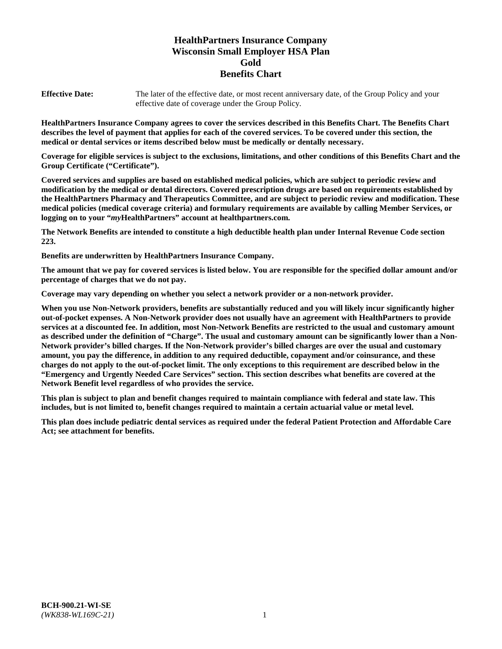# **HealthPartners Insurance Company Wisconsin Small Employer HSA Plan Gold Benefits Chart**

**Effective Date:** The later of the effective date, or most recent anniversary date, of the Group Policy and your effective date of coverage under the Group Policy.

**HealthPartners Insurance Company agrees to cover the services described in this Benefits Chart. The Benefits Chart describes the level of payment that applies for each of the covered services. To be covered under this section, the medical or dental services or items described below must be medically or dentally necessary.**

**Coverage for eligible services is subject to the exclusions, limitations, and other conditions of this Benefits Chart and the Group Certificate ("Certificate").**

**Covered services and supplies are based on established medical policies, which are subject to periodic review and modification by the medical or dental directors. Covered prescription drugs are based on requirements established by the HealthPartners Pharmacy and Therapeutics Committee, and are subject to periodic review and modification. These medical policies (medical coverage criteria) and formulary requirements are available by calling Member Services, or logging on to your "***my***HealthPartners" account at [healthpartners.com.](https://www.healthpartners.com/hp/index.html)**

**The Network Benefits are intended to constitute a high deductible health plan under Internal Revenue Code section 223.**

**Benefits are underwritten by HealthPartners Insurance Company.**

**The amount that we pay for covered services is listed below. You are responsible for the specified dollar amount and/or percentage of charges that we do not pay.**

**Coverage may vary depending on whether you select a network provider or a non-network provider.**

**When you use Non-Network providers, benefits are substantially reduced and you will likely incur significantly higher out-of-pocket expenses. A Non-Network provider does not usually have an agreement with HealthPartners to provide services at a discounted fee. In addition, most Non-Network Benefits are restricted to the usual and customary amount as described under the definition of "Charge". The usual and customary amount can be significantly lower than a Non-Network provider's billed charges. If the Non-Network provider's billed charges are over the usual and customary amount, you pay the difference, in addition to any required deductible, copayment and/or coinsurance, and these charges do not apply to the out-of-pocket limit. The only exceptions to this requirement are described below in the "Emergency and Urgently Needed Care Services" section. This section describes what benefits are covered at the Network Benefit level regardless of who provides the service.**

**This plan is subject to plan and benefit changes required to maintain compliance with federal and state law. This includes, but is not limited to, benefit changes required to maintain a certain actuarial value or metal level.**

**This plan does include pediatric dental services as required under the federal Patient Protection and Affordable Care Act; see attachment for benefits.**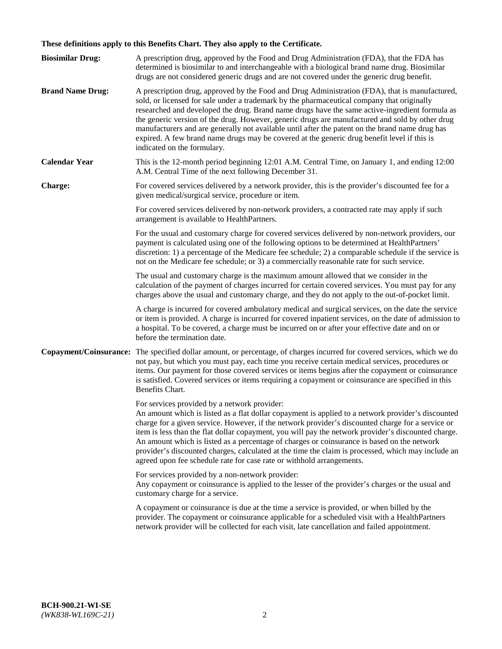# **These definitions apply to this Benefits Chart. They also apply to the Certificate.**

| <b>Biosimilar Drug:</b> | A prescription drug, approved by the Food and Drug Administration (FDA), that the FDA has<br>determined is biosimilar to and interchangeable with a biological brand name drug. Biosimilar<br>drugs are not considered generic drugs and are not covered under the generic drug benefit.                                                                                                                                                                                                                                                                                                                                                     |
|-------------------------|----------------------------------------------------------------------------------------------------------------------------------------------------------------------------------------------------------------------------------------------------------------------------------------------------------------------------------------------------------------------------------------------------------------------------------------------------------------------------------------------------------------------------------------------------------------------------------------------------------------------------------------------|
| <b>Brand Name Drug:</b> | A prescription drug, approved by the Food and Drug Administration (FDA), that is manufactured,<br>sold, or licensed for sale under a trademark by the pharmaceutical company that originally<br>researched and developed the drug. Brand name drugs have the same active-ingredient formula as<br>the generic version of the drug. However, generic drugs are manufactured and sold by other drug<br>manufacturers and are generally not available until after the patent on the brand name drug has<br>expired. A few brand name drugs may be covered at the generic drug benefit level if this is<br>indicated on the formulary.           |
| <b>Calendar Year</b>    | This is the 12-month period beginning 12:01 A.M. Central Time, on January 1, and ending 12:00<br>A.M. Central Time of the next following December 31.                                                                                                                                                                                                                                                                                                                                                                                                                                                                                        |
| <b>Charge:</b>          | For covered services delivered by a network provider, this is the provider's discounted fee for a<br>given medical/surgical service, procedure or item.                                                                                                                                                                                                                                                                                                                                                                                                                                                                                      |
|                         | For covered services delivered by non-network providers, a contracted rate may apply if such<br>arrangement is available to HealthPartners.                                                                                                                                                                                                                                                                                                                                                                                                                                                                                                  |
|                         | For the usual and customary charge for covered services delivered by non-network providers, our<br>payment is calculated using one of the following options to be determined at HealthPartners'<br>discretion: 1) a percentage of the Medicare fee schedule; 2) a comparable schedule if the service is<br>not on the Medicare fee schedule; or 3) a commercially reasonable rate for such service.                                                                                                                                                                                                                                          |
|                         | The usual and customary charge is the maximum amount allowed that we consider in the<br>calculation of the payment of charges incurred for certain covered services. You must pay for any<br>charges above the usual and customary charge, and they do not apply to the out-of-pocket limit.                                                                                                                                                                                                                                                                                                                                                 |
|                         | A charge is incurred for covered ambulatory medical and surgical services, on the date the service<br>or item is provided. A charge is incurred for covered inpatient services, on the date of admission to<br>a hospital. To be covered, a charge must be incurred on or after your effective date and on or<br>before the termination date.                                                                                                                                                                                                                                                                                                |
| Copayment/Coinsurance:  | The specified dollar amount, or percentage, of charges incurred for covered services, which we do<br>not pay, but which you must pay, each time you receive certain medical services, procedures or<br>items. Our payment for those covered services or items begins after the copayment or coinsurance<br>is satisfied. Covered services or items requiring a copayment or coinsurance are specified in this<br>Benefits Chart.                                                                                                                                                                                                             |
|                         | For services provided by a network provider:<br>An amount which is listed as a flat dollar copayment is applied to a network provider's discounted<br>charge for a given service. However, if the network provider's discounted charge for a service or<br>item is less than the flat dollar copayment, you will pay the network provider's discounted charge.<br>An amount which is listed as a percentage of charges or coinsurance is based on the network<br>provider's discounted charges, calculated at the time the claim is processed, which may include an<br>agreed upon fee schedule rate for case rate or withhold arrangements. |
|                         | For services provided by a non-network provider:<br>Any copayment or coinsurance is applied to the lesser of the provider's charges or the usual and<br>customary charge for a service.                                                                                                                                                                                                                                                                                                                                                                                                                                                      |
|                         | A copayment or coinsurance is due at the time a service is provided, or when billed by the<br>provider. The copayment or coinsurance applicable for a scheduled visit with a HealthPartners<br>network provider will be collected for each visit, late cancellation and failed appointment.                                                                                                                                                                                                                                                                                                                                                  |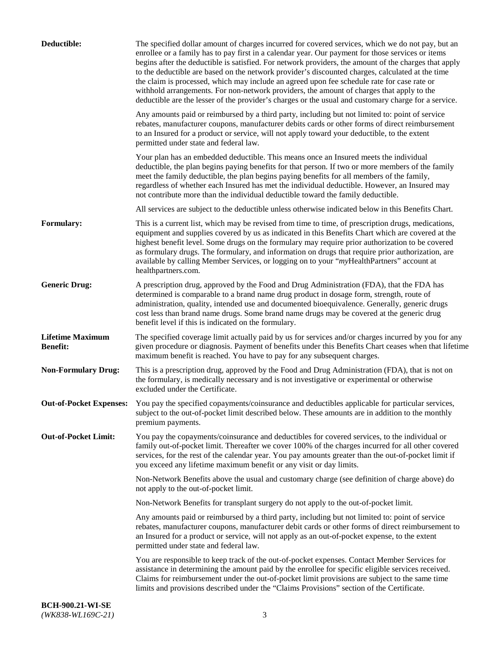| Deductible:                                | The specified dollar amount of charges incurred for covered services, which we do not pay, but an<br>enrollee or a family has to pay first in a calendar year. Our payment for those services or items<br>begins after the deductible is satisfied. For network providers, the amount of the charges that apply<br>to the deductible are based on the network provider's discounted charges, calculated at the time<br>the claim is processed, which may include an agreed upon fee schedule rate for case rate or<br>withhold arrangements. For non-network providers, the amount of charges that apply to the<br>deductible are the lesser of the provider's charges or the usual and customary charge for a service. |
|--------------------------------------------|-------------------------------------------------------------------------------------------------------------------------------------------------------------------------------------------------------------------------------------------------------------------------------------------------------------------------------------------------------------------------------------------------------------------------------------------------------------------------------------------------------------------------------------------------------------------------------------------------------------------------------------------------------------------------------------------------------------------------|
|                                            | Any amounts paid or reimbursed by a third party, including but not limited to: point of service<br>rebates, manufacturer coupons, manufacturer debits cards or other forms of direct reimbursement<br>to an Insured for a product or service, will not apply toward your deductible, to the extent<br>permitted under state and federal law.                                                                                                                                                                                                                                                                                                                                                                            |
|                                            | Your plan has an embedded deductible. This means once an Insured meets the individual<br>deductible, the plan begins paying benefits for that person. If two or more members of the family<br>meet the family deductible, the plan begins paying benefits for all members of the family,<br>regardless of whether each Insured has met the individual deductible. However, an Insured may<br>not contribute more than the individual deductible toward the family deductible.                                                                                                                                                                                                                                           |
|                                            | All services are subject to the deductible unless otherwise indicated below in this Benefits Chart.                                                                                                                                                                                                                                                                                                                                                                                                                                                                                                                                                                                                                     |
| <b>Formulary:</b>                          | This is a current list, which may be revised from time to time, of prescription drugs, medications,<br>equipment and supplies covered by us as indicated in this Benefits Chart which are covered at the<br>highest benefit level. Some drugs on the formulary may require prior authorization to be covered<br>as formulary drugs. The formulary, and information on drugs that require prior authorization, are<br>available by calling Member Services, or logging on to your "myHealthPartners" account at<br>healthpartners.com.                                                                                                                                                                                   |
| <b>Generic Drug:</b>                       | A prescription drug, approved by the Food and Drug Administration (FDA), that the FDA has<br>determined is comparable to a brand name drug product in dosage form, strength, route of<br>administration, quality, intended use and documented bioequivalence. Generally, generic drugs<br>cost less than brand name drugs. Some brand name drugs may be covered at the generic drug<br>benefit level if this is indicated on the formulary.                                                                                                                                                                                                                                                                             |
| <b>Lifetime Maximum</b><br><b>Benefit:</b> | The specified coverage limit actually paid by us for services and/or charges incurred by you for any<br>given procedure or diagnosis. Payment of benefits under this Benefits Chart ceases when that lifetime<br>maximum benefit is reached. You have to pay for any subsequent charges.                                                                                                                                                                                                                                                                                                                                                                                                                                |
| <b>Non-Formulary Drug:</b>                 | This is a prescription drug, approved by the Food and Drug Administration (FDA), that is not on<br>the formulary, is medically necessary and is not investigative or experimental or otherwise<br>excluded under the Certificate.                                                                                                                                                                                                                                                                                                                                                                                                                                                                                       |
|                                            | Out-of-Pocket Expenses: You pay the specified copayments/coinsurance and deductibles applicable for particular services,<br>subject to the out-of-pocket limit described below. These amounts are in addition to the monthly<br>premium payments.                                                                                                                                                                                                                                                                                                                                                                                                                                                                       |
| <b>Out-of-Pocket Limit:</b>                | You pay the copayments/coinsurance and deductibles for covered services, to the individual or<br>family out-of-pocket limit. Thereafter we cover 100% of the charges incurred for all other covered<br>services, for the rest of the calendar year. You pay amounts greater than the out-of-pocket limit if<br>you exceed any lifetime maximum benefit or any visit or day limits.                                                                                                                                                                                                                                                                                                                                      |
|                                            | Non-Network Benefits above the usual and customary charge (see definition of charge above) do<br>not apply to the out-of-pocket limit.                                                                                                                                                                                                                                                                                                                                                                                                                                                                                                                                                                                  |
|                                            | Non-Network Benefits for transplant surgery do not apply to the out-of-pocket limit.                                                                                                                                                                                                                                                                                                                                                                                                                                                                                                                                                                                                                                    |
|                                            | Any amounts paid or reimbursed by a third party, including but not limited to: point of service<br>rebates, manufacturer coupons, manufacturer debit cards or other forms of direct reimbursement to<br>an Insured for a product or service, will not apply as an out-of-pocket expense, to the extent<br>permitted under state and federal law.                                                                                                                                                                                                                                                                                                                                                                        |
|                                            | You are responsible to keep track of the out-of-pocket expenses. Contact Member Services for<br>assistance in determining the amount paid by the enrollee for specific eligible services received.<br>Claims for reimbursement under the out-of-pocket limit provisions are subject to the same time<br>limits and provisions described under the "Claims Provisions" section of the Certificate.                                                                                                                                                                                                                                                                                                                       |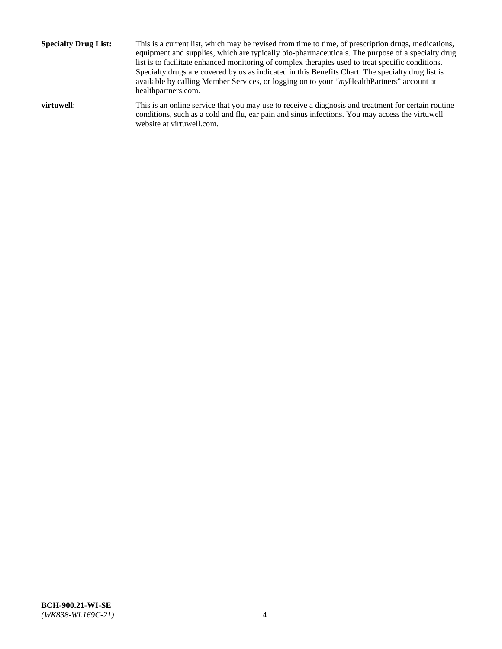**Specialty Drug List:** This is a current list, which may be revised from time to time, of prescription drugs, medications, equipment and supplies, which are typically bio-pharmaceuticals. The purpose of a specialty drug list is to facilitate enhanced monitoring of complex therapies used to treat specific conditions. Specialty drugs are covered by us as indicated in this Benefits Chart. The specialty drug list is available by calling Member Services, or logging on to your "*my*HealthPartners" account at [healthpartners.com.](http://www.healthpartners.com/) **virtuwell:** This is an online service that you may use to receive a diagnosis and treatment for certain routine conditions, such as a cold and flu, ear pain and sinus infections. You may access the virtuwell

website at [virtuwell.com.](http://www.virtuwell.com/)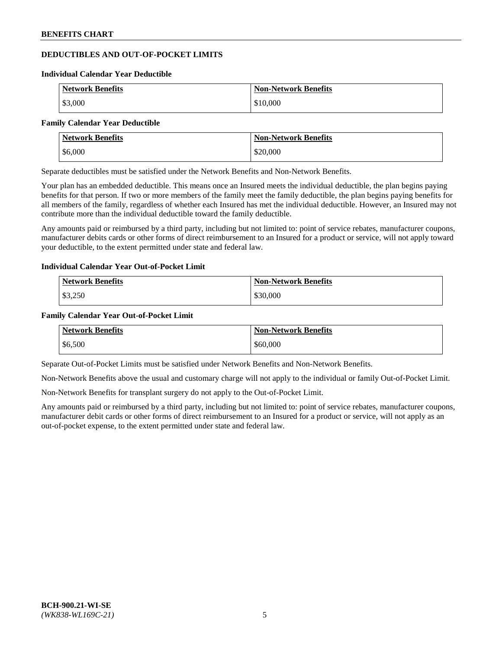## **DEDUCTIBLES AND OUT-OF-POCKET LIMITS**

#### **Individual Calendar Year Deductible**

| <b>Network Benefits</b> | <b>Non-Network Benefits</b> |
|-------------------------|-----------------------------|
| \$3,000                 | \$10,000                    |

#### **Family Calendar Year Deductible**

| Network Benefits | <b>Non-Network Benefits</b> |
|------------------|-----------------------------|
| \$6,000          | \$20,000                    |

Separate deductibles must be satisfied under the Network Benefits and Non-Network Benefits.

Your plan has an embedded deductible. This means once an Insured meets the individual deductible, the plan begins paying benefits for that person. If two or more members of the family meet the family deductible, the plan begins paying benefits for all members of the family, regardless of whether each Insured has met the individual deductible. However, an Insured may not contribute more than the individual deductible toward the family deductible.

Any amounts paid or reimbursed by a third party, including but not limited to: point of service rebates, manufacturer coupons, manufacturer debits cards or other forms of direct reimbursement to an Insured for a product or service, will not apply toward your deductible, to the extent permitted under state and federal law.

#### **Individual Calendar Year Out-of-Pocket Limit**

| <b>Network Benefits</b> | <b>Non-Network Benefits</b> |
|-------------------------|-----------------------------|
| \$3,250                 | \$30,000                    |

#### **Family Calendar Year Out-of-Pocket Limit**

| <b>Network Benefits</b> | Non-Network Benefits |
|-------------------------|----------------------|
| \$6,500                 | \$60,000             |

Separate Out-of-Pocket Limits must be satisfied under Network Benefits and Non-Network Benefits.

Non-Network Benefits above the usual and customary charge will not apply to the individual or family Out-of-Pocket Limit.

Non-Network Benefits for transplant surgery do not apply to the Out-of-Pocket Limit.

Any amounts paid or reimbursed by a third party, including but not limited to: point of service rebates, manufacturer coupons, manufacturer debit cards or other forms of direct reimbursement to an Insured for a product or service, will not apply as an out-of-pocket expense, to the extent permitted under state and federal law.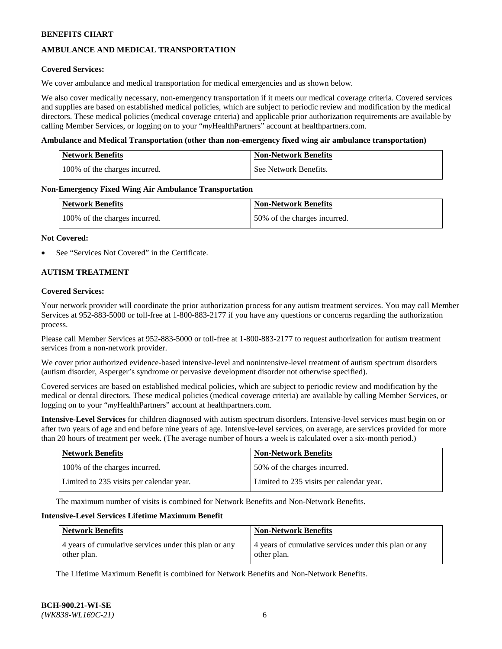## **AMBULANCE AND MEDICAL TRANSPORTATION**

### **Covered Services:**

We cover ambulance and medical transportation for medical emergencies and as shown below.

We also cover medically necessary, non-emergency transportation if it meets our medical coverage criteria. Covered services and supplies are based on established medical policies, which are subject to periodic review and modification by the medical directors. These medical policies (medical coverage criteria) and applicable prior authorization requirements are available by calling Member Services, or logging on to your "*my*HealthPartners" account a[t healthpartners.com.](https://www.healthpartners.com/hp/index.html)

### **Ambulance and Medical Transportation (other than non-emergency fixed wing air ambulance transportation)**

| <b>Network Benefits</b>       | <b>Non-Network Benefits</b> |
|-------------------------------|-----------------------------|
| 100% of the charges incurred. | See Network Benefits.       |

### **Non-Emergency Fixed Wing Air Ambulance Transportation**

| <b>Network Benefits</b>       | <b>Non-Network Benefits</b>  |
|-------------------------------|------------------------------|
| 100% of the charges incurred. | 50% of the charges incurred. |

### **Not Covered:**

See "Services Not Covered" in the Certificate.

### **AUTISM TREATMENT**

### **Covered Services:**

Your network provider will coordinate the prior authorization process for any autism treatment services. You may call Member Services at 952-883-5000 or toll-free at 1-800-883-2177 if you have any questions or concerns regarding the authorization process.

Please call Member Services at 952-883-5000 or toll-free at 1-800-883-2177 to request authorization for autism treatment services from a non-network provider.

We cover prior authorized evidence-based intensive-level and nonintensive-level treatment of autism spectrum disorders (autism disorder, Asperger's syndrome or pervasive development disorder not otherwise specified).

Covered services are based on established medical policies, which are subject to periodic review and modification by the medical or dental directors. These medical policies (medical coverage criteria) are available by calling Member Services, or logging on to your "*my*HealthPartners" account at [healthpartners.com.](https://www.healthpartners.com/hp/index.html)

**Intensive-Level Services** for children diagnosed with autism spectrum disorders. Intensive-level services must begin on or after two years of age and end before nine years of age. Intensive-level services, on average, are services provided for more than 20 hours of treatment per week. (The average number of hours a week is calculated over a six-month period.)

| <b>Network Benefits</b>                  | <b>Non-Network Benefits</b>              |
|------------------------------------------|------------------------------------------|
| 100% of the charges incurred.            | 50% of the charges incurred.             |
| Limited to 235 visits per calendar year. | Limited to 235 visits per calendar year. |

The maximum number of visits is combined for Network Benefits and Non-Network Benefits.

### **Intensive-Level Services Lifetime Maximum Benefit**

| <b>Network Benefits</b>                                              | <b>Non-Network Benefits</b>                                          |
|----------------------------------------------------------------------|----------------------------------------------------------------------|
| 4 years of cumulative services under this plan or any<br>other plan. | 4 years of cumulative services under this plan or any<br>other plan. |

The Lifetime Maximum Benefit is combined for Network Benefits and Non-Network Benefits.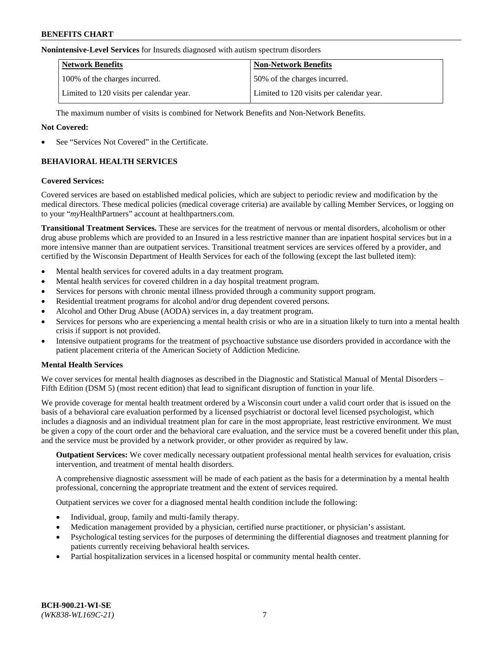#### **Nonintensive-Level Services** for Insureds diagnosed with autism spectrum disorders

| <b>Network Benefits</b>                  | <b>Non-Network Benefits</b>              |
|------------------------------------------|------------------------------------------|
| 100% of the charges incurred.            | 50% of the charges incurred.             |
| Limited to 120 visits per calendar year. | Limited to 120 visits per calendar year. |

The maximum number of visits is combined for Network Benefits and Non-Network Benefits.

### **Not Covered:**

See "Services Not Covered" in the Certificate.

## **BEHAVIORAL HEALTH SERVICES**

### **Covered Services:**

Covered services are based on established medical policies, which are subject to periodic review and modification by the medical directors. These medical policies (medical coverage criteria) are available by calling Member Services, or logging on to your "*my*HealthPartners" account at [healthpartners.com.](https://www.healthpartners.com/hp/index.html)

**Transitional Treatment Services.** These are services for the treatment of nervous or mental disorders, alcoholism or other drug abuse problems which are provided to an Insured in a less restrictive manner than are inpatient hospital services but in a more intensive manner than are outpatient services. Transitional treatment services are services offered by a provider, and certified by the Wisconsin Department of Health Services for each of the following (except the last bulleted item):

- Mental health services for covered adults in a day treatment program.
- Mental health services for covered children in a day hospital treatment program.
- Services for persons with chronic mental illness provided through a community support program.
- Residential treatment programs for alcohol and/or drug dependent covered persons.
- Alcohol and Other Drug Abuse (AODA) services in, a day treatment program.
- Services for persons who are experiencing a mental health crisis or who are in a situation likely to turn into a mental health crisis if support is not provided.
- Intensive outpatient programs for the treatment of psychoactive substance use disorders provided in accordance with the patient placement criteria of the American Society of Addiction Medicine.

### **Mental Health Services**

We cover services for mental health diagnoses as described in the Diagnostic and Statistical Manual of Mental Disorders – Fifth Edition (DSM 5) (most recent edition) that lead to significant disruption of function in your life.

We provide coverage for mental health treatment ordered by a Wisconsin court under a valid court order that is issued on the basis of a behavioral care evaluation performed by a licensed psychiatrist or doctoral level licensed psychologist, which includes a diagnosis and an individual treatment plan for care in the most appropriate, least restrictive environment. We must be given a copy of the court order and the behavioral care evaluation, and the service must be a covered benefit under this plan, and the service must be provided by a network provider, or other provider as required by law.

**Outpatient Services:** We cover medically necessary outpatient professional mental health services for evaluation, crisis intervention, and treatment of mental health disorders.

A comprehensive diagnostic assessment will be made of each patient as the basis for a determination by a mental health professional, concerning the appropriate treatment and the extent of services required.

Outpatient services we cover for a diagnosed mental health condition include the following:

- Individual, group, family and multi-family therapy.
- Medication management provided by a physician, certified nurse practitioner, or physician's assistant.
- Psychological testing services for the purposes of determining the differential diagnoses and treatment planning for patients currently receiving behavioral health services.
- Partial hospitalization services in a licensed hospital or community mental health center.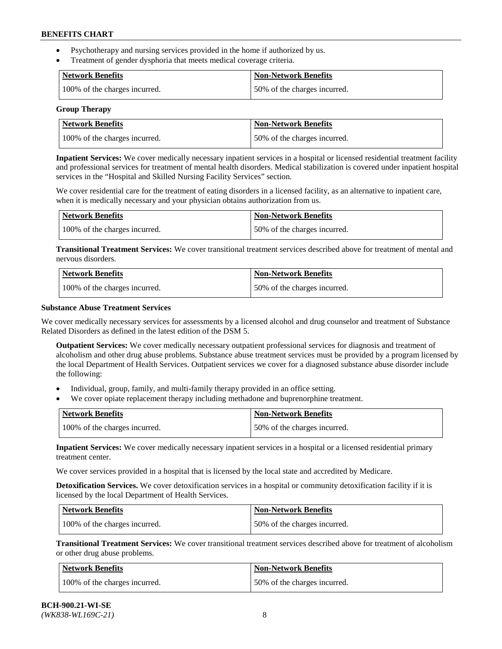- Psychotherapy and nursing services provided in the home if authorized by us.
- Treatment of gender dysphoria that meets medical coverage criteria.

| Network Benefits              | <b>Non-Network Benefits</b>  |
|-------------------------------|------------------------------|
| 100% of the charges incurred. | 50% of the charges incurred. |

#### **Group Therapy**

| Network Benefits              | <b>Non-Network Benefits</b>  |
|-------------------------------|------------------------------|
| 100% of the charges incurred. | 50% of the charges incurred. |

**Inpatient Services:** We cover medically necessary inpatient services in a hospital or licensed residential treatment facility and professional services for treatment of mental health disorders. Medical stabilization is covered under inpatient hospital services in the "Hospital and Skilled Nursing Facility Services" section.

We cover residential care for the treatment of eating disorders in a licensed facility, as an alternative to inpatient care, when it is medically necessary and your physician obtains authorization from us.

| <b>Network Benefits</b>       | <b>Non-Network Benefits</b>  |
|-------------------------------|------------------------------|
| 100% of the charges incurred. | 50% of the charges incurred. |

**Transitional Treatment Services:** We cover transitional treatment services described above for treatment of mental and nervous disorders.

| <b>Network Benefits</b>       | <b>Non-Network Benefits</b>  |
|-------------------------------|------------------------------|
| 100% of the charges incurred. | 50% of the charges incurred. |

### **Substance Abuse Treatment Services**

We cover medically necessary services for assessments by a licensed alcohol and drug counselor and treatment of Substance Related Disorders as defined in the latest edition of the DSM 5.

**Outpatient Services:** We cover medically necessary outpatient professional services for diagnosis and treatment of alcoholism and other drug abuse problems. Substance abuse treatment services must be provided by a program licensed by the local Department of Health Services. Outpatient services we cover for a diagnosed substance abuse disorder include the following:

- Individual, group, family, and multi-family therapy provided in an office setting.
- We cover opiate replacement therapy including methadone and buprenorphine treatment.

| <b>Network Benefits</b>       | <b>Non-Network Benefits</b>  |
|-------------------------------|------------------------------|
| 100% of the charges incurred. | 50% of the charges incurred. |

**Inpatient Services:** We cover medically necessary inpatient services in a hospital or a licensed residential primary treatment center.

We cover services provided in a hospital that is licensed by the local state and accredited by Medicare.

**Detoxification Services.** We cover detoxification services in a hospital or community detoxification facility if it is licensed by the local Department of Health Services.

| Network Benefits              | <b>Non-Network Benefits</b>  |
|-------------------------------|------------------------------|
| 100% of the charges incurred. | 50% of the charges incurred. |

**Transitional Treatment Services:** We cover transitional treatment services described above for treatment of alcoholism or other drug abuse problems.

| <b>Network Benefits</b>       | <b>Non-Network Benefits</b>  |
|-------------------------------|------------------------------|
| 100% of the charges incurred. | 50% of the charges incurred. |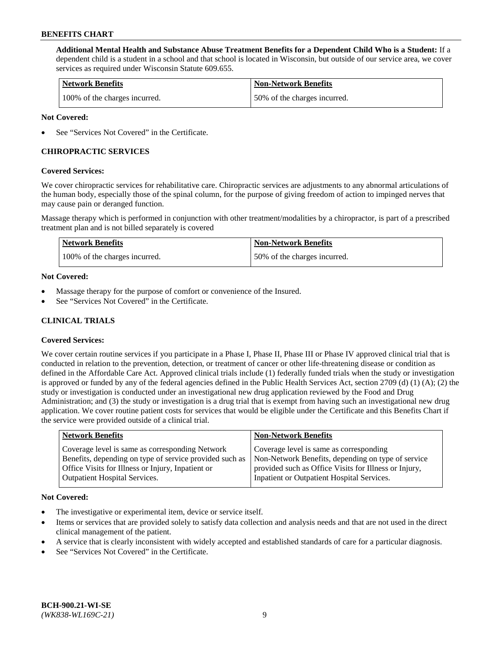**Additional Mental Health and Substance Abuse Treatment Benefits for a Dependent Child Who is a Student:** If a dependent child is a student in a school and that school is located in Wisconsin, but outside of our service area, we cover services as required under Wisconsin Statute 609.655.

| <b>Network Benefits</b>       | <b>Non-Network Benefits</b>  |
|-------------------------------|------------------------------|
| 100% of the charges incurred. | 50% of the charges incurred. |

### **Not Covered:**

See "Services Not Covered" in the Certificate.

## **CHIROPRACTIC SERVICES**

### **Covered Services:**

We cover chiropractic services for rehabilitative care. Chiropractic services are adjustments to any abnormal articulations of the human body, especially those of the spinal column, for the purpose of giving freedom of action to impinged nerves that may cause pain or deranged function.

Massage therapy which is performed in conjunction with other treatment/modalities by a chiropractor, is part of a prescribed treatment plan and is not billed separately is covered

| <b>Network Benefits</b>       | <b>Non-Network Benefits</b>  |
|-------------------------------|------------------------------|
| 100% of the charges incurred. | 50% of the charges incurred. |

### **Not Covered:**

- Massage therapy for the purpose of comfort or convenience of the Insured.
- See "Services Not Covered" in the Certificate.

## **CLINICAL TRIALS**

### **Covered Services:**

We cover certain routine services if you participate in a Phase I, Phase II, Phase III or Phase IV approved clinical trial that is conducted in relation to the prevention, detection, or treatment of cancer or other life-threatening disease or condition as defined in the Affordable Care Act. Approved clinical trials include (1) federally funded trials when the study or investigation is approved or funded by any of the federal agencies defined in the Public Health Services Act, section 2709 (d) (1) (A); (2) the study or investigation is conducted under an investigational new drug application reviewed by the Food and Drug Administration; and (3) the study or investigation is a drug trial that is exempt from having such an investigational new drug application. We cover routine patient costs for services that would be eligible under the Certificate and this Benefits Chart if the service were provided outside of a clinical trial.

| <b>Network Benefits</b>                                                                                                                                                                                 | <b>Non-Network Benefits</b>                                                                                                                                                                          |
|---------------------------------------------------------------------------------------------------------------------------------------------------------------------------------------------------------|------------------------------------------------------------------------------------------------------------------------------------------------------------------------------------------------------|
| Coverage level is same as corresponding Network<br>Benefits, depending on type of service provided such as<br>Office Visits for Illness or Injury, Inpatient or<br><b>Outpatient Hospital Services.</b> | Coverage level is same as corresponding<br>Non-Network Benefits, depending on type of service<br>provided such as Office Visits for Illness or Injury,<br>Inpatient or Outpatient Hospital Services. |
|                                                                                                                                                                                                         |                                                                                                                                                                                                      |

#### **Not Covered:**

- The investigative or experimental item, device or service itself.
- Items or services that are provided solely to satisfy data collection and analysis needs and that are not used in the direct clinical management of the patient.
- A service that is clearly inconsistent with widely accepted and established standards of care for a particular diagnosis.
- See "Services Not Covered" in the Certificate.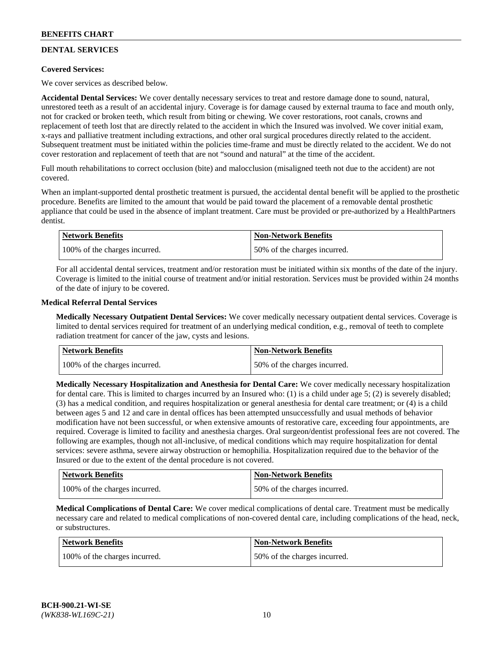## **DENTAL SERVICES**

### **Covered Services:**

We cover services as described below.

**Accidental Dental Services:** We cover dentally necessary services to treat and restore damage done to sound, natural, unrestored teeth as a result of an accidental injury. Coverage is for damage caused by external trauma to face and mouth only, not for cracked or broken teeth, which result from biting or chewing. We cover restorations, root canals, crowns and replacement of teeth lost that are directly related to the accident in which the Insured was involved. We cover initial exam, x-rays and palliative treatment including extractions, and other oral surgical procedures directly related to the accident. Subsequent treatment must be initiated within the policies time-frame and must be directly related to the accident. We do not cover restoration and replacement of teeth that are not "sound and natural" at the time of the accident.

Full mouth rehabilitations to correct occlusion (bite) and malocclusion (misaligned teeth not due to the accident) are not covered.

When an implant-supported dental prosthetic treatment is pursued, the accidental dental benefit will be applied to the prosthetic procedure. Benefits are limited to the amount that would be paid toward the placement of a removable dental prosthetic appliance that could be used in the absence of implant treatment. Care must be provided or pre-authorized by a HealthPartners dentist.

| Network Benefits              | <b>Non-Network Benefits</b>  |
|-------------------------------|------------------------------|
| 100% of the charges incurred. | 50% of the charges incurred. |

For all accidental dental services, treatment and/or restoration must be initiated within six months of the date of the injury. Coverage is limited to the initial course of treatment and/or initial restoration. Services must be provided within 24 months of the date of injury to be covered.

### **Medical Referral Dental Services**

**Medically Necessary Outpatient Dental Services:** We cover medically necessary outpatient dental services. Coverage is limited to dental services required for treatment of an underlying medical condition, e.g., removal of teeth to complete radiation treatment for cancer of the jaw, cysts and lesions.

| <b>Network Benefits</b>       | <b>Non-Network Benefits</b>  |
|-------------------------------|------------------------------|
| 100% of the charges incurred. | 50% of the charges incurred. |

**Medically Necessary Hospitalization and Anesthesia for Dental Care:** We cover medically necessary hospitalization for dental care. This is limited to charges incurred by an Insured who: (1) is a child under age  $5$ ; (2) is severely disabled; (3) has a medical condition, and requires hospitalization or general anesthesia for dental care treatment; or (4) is a child between ages 5 and 12 and care in dental offices has been attempted unsuccessfully and usual methods of behavior modification have not been successful, or when extensive amounts of restorative care, exceeding four appointments, are required. Coverage is limited to facility and anesthesia charges. Oral surgeon/dentist professional fees are not covered. The following are examples, though not all-inclusive, of medical conditions which may require hospitalization for dental services: severe asthma, severe airway obstruction or hemophilia. Hospitalization required due to the behavior of the Insured or due to the extent of the dental procedure is not covered.

| Network Benefits              | <b>Non-Network Benefits</b>  |
|-------------------------------|------------------------------|
| 100% of the charges incurred. | 50% of the charges incurred. |

**Medical Complications of Dental Care:** We cover medical complications of dental care. Treatment must be medically necessary care and related to medical complications of non-covered dental care, including complications of the head, neck, or substructures.

| Network Benefits              | <b>Non-Network Benefits</b>  |
|-------------------------------|------------------------------|
| 100% of the charges incurred. | 50% of the charges incurred. |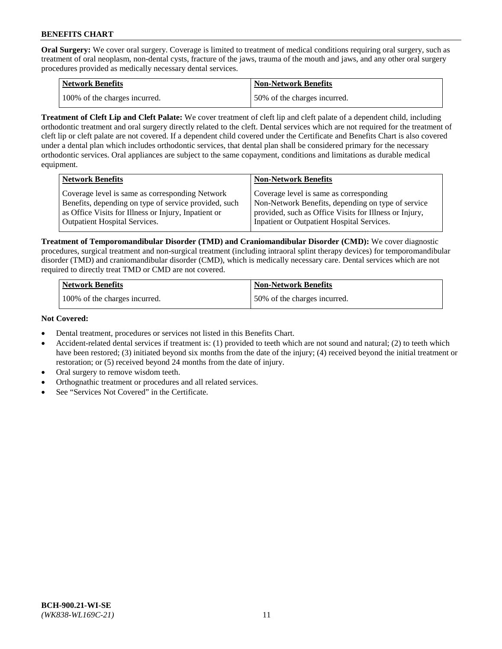**Oral Surgery:** We cover oral surgery. Coverage is limited to treatment of medical conditions requiring oral surgery, such as treatment of oral neoplasm, non-dental cysts, fracture of the jaws, trauma of the mouth and jaws, and any other oral surgery procedures provided as medically necessary dental services.

| <b>Network Benefits</b>       | Non-Network Benefits         |
|-------------------------------|------------------------------|
| 100% of the charges incurred. | 50% of the charges incurred. |

**Treatment of Cleft Lip and Cleft Palate:** We cover treatment of cleft lip and cleft palate of a dependent child, including orthodontic treatment and oral surgery directly related to the cleft. Dental services which are not required for the treatment of cleft lip or cleft palate are not covered. If a dependent child covered under the Certificate and Benefits Chart is also covered under a dental plan which includes orthodontic services, that dental plan shall be considered primary for the necessary orthodontic services. Oral appliances are subject to the same copayment, conditions and limitations as durable medical equipment.

| <b>Network Benefits</b>                               | <b>Non-Network Benefits</b>                            |
|-------------------------------------------------------|--------------------------------------------------------|
| Coverage level is same as corresponding Network       | Coverage level is same as corresponding                |
| Benefits, depending on type of service provided, such | Non-Network Benefits, depending on type of service     |
| as Office Visits for Illness or Injury, Inpatient or  | provided, such as Office Visits for Illness or Injury, |
| Outpatient Hospital Services.                         | Inpatient or Outpatient Hospital Services.             |

**Treatment of Temporomandibular Disorder (TMD) and Craniomandibular Disorder (CMD):** We cover diagnostic procedures, surgical treatment and non-surgical treatment (including intraoral splint therapy devices) for temporomandibular disorder (TMD) and craniomandibular disorder (CMD), which is medically necessary care. Dental services which are not required to directly treat TMD or CMD are not covered.

| <b>Network Benefits</b>       | <b>Non-Network Benefits</b>  |
|-------------------------------|------------------------------|
| 100% of the charges incurred. | 50% of the charges incurred. |

### **Not Covered:**

- Dental treatment, procedures or services not listed in this Benefits Chart.
- Accident-related dental services if treatment is: (1) provided to teeth which are not sound and natural; (2) to teeth which have been restored; (3) initiated beyond six months from the date of the injury; (4) received beyond the initial treatment or restoration; or (5) received beyond 24 months from the date of injury.
- Oral surgery to remove wisdom teeth.
- Orthognathic treatment or procedures and all related services.
- See "Services Not Covered" in the Certificate.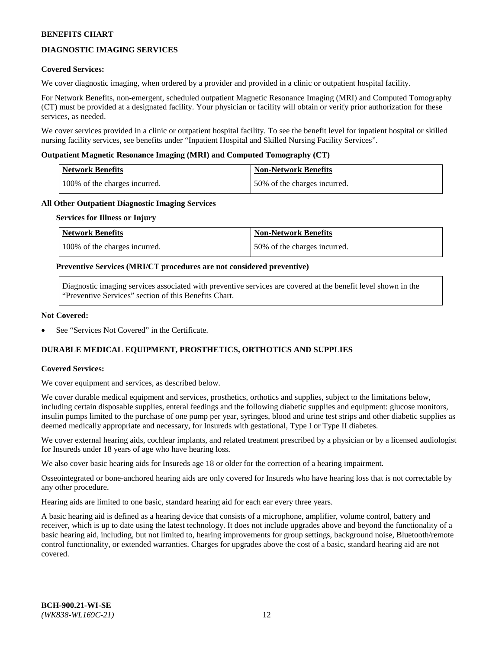## **DIAGNOSTIC IMAGING SERVICES**

### **Covered Services:**

We cover diagnostic imaging, when ordered by a provider and provided in a clinic or outpatient hospital facility.

For Network Benefits, non-emergent, scheduled outpatient Magnetic Resonance Imaging (MRI) and Computed Tomography (CT) must be provided at a designated facility. Your physician or facility will obtain or verify prior authorization for these services, as needed.

We cover services provided in a clinic or outpatient hospital facility. To see the benefit level for inpatient hospital or skilled nursing facility services, see benefits under "Inpatient Hospital and Skilled Nursing Facility Services".

### **Outpatient Magnetic Resonance Imaging (MRI) and Computed Tomography (CT)**

| <b>Network Benefits</b>       | <b>Non-Network Benefits</b>  |
|-------------------------------|------------------------------|
| 100% of the charges incurred. | 50% of the charges incurred. |

### **All Other Outpatient Diagnostic Imaging Services**

#### **Services for Illness or Injury**

| Network Benefits              | <b>Non-Network Benefits</b>  |
|-------------------------------|------------------------------|
| 100% of the charges incurred. | 50% of the charges incurred. |

### **Preventive Services (MRI/CT procedures are not considered preventive)**

Diagnostic imaging services associated with preventive services are covered at the benefit level shown in the "Preventive Services" section of this Benefits Chart.

### **Not Covered:**

See "Services Not Covered" in the Certificate.

## **DURABLE MEDICAL EQUIPMENT, PROSTHETICS, ORTHOTICS AND SUPPLIES**

### **Covered Services:**

We cover equipment and services, as described below.

We cover durable medical equipment and services, prosthetics, orthotics and supplies, subject to the limitations below, including certain disposable supplies, enteral feedings and the following diabetic supplies and equipment: glucose monitors, insulin pumps limited to the purchase of one pump per year, syringes, blood and urine test strips and other diabetic supplies as deemed medically appropriate and necessary, for Insureds with gestational, Type I or Type II diabetes.

We cover external hearing aids, cochlear implants, and related treatment prescribed by a physician or by a licensed audiologist for Insureds under 18 years of age who have hearing loss.

We also cover basic hearing aids for Insureds age 18 or older for the correction of a hearing impairment.

Osseointegrated or bone-anchored hearing aids are only covered for Insureds who have hearing loss that is not correctable by any other procedure.

Hearing aids are limited to one basic, standard hearing aid for each ear every three years.

A basic hearing aid is defined as a hearing device that consists of a microphone, amplifier, volume control, battery and receiver, which is up to date using the latest technology. It does not include upgrades above and beyond the functionality of a basic hearing aid, including, but not limited to, hearing improvements for group settings, background noise, Bluetooth/remote control functionality, or extended warranties. Charges for upgrades above the cost of a basic, standard hearing aid are not covered.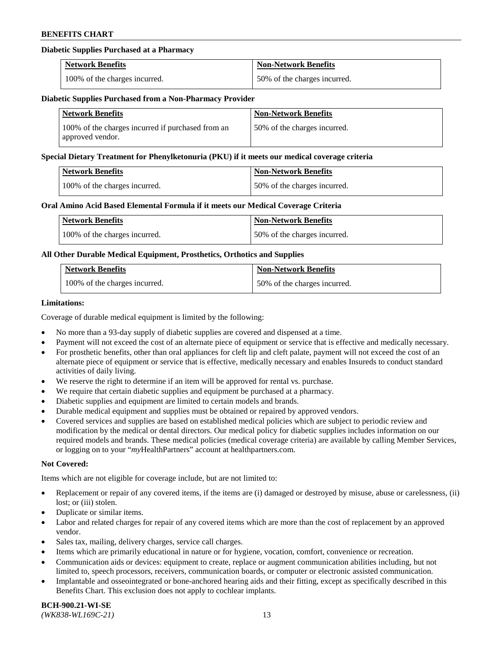### **Diabetic Supplies Purchased at a Pharmacy**

| <b>Network Benefits</b>       | <b>Non-Network Benefits</b>  |
|-------------------------------|------------------------------|
| 100% of the charges incurred. | 50% of the charges incurred. |

#### **Diabetic Supplies Purchased from a Non-Pharmacy Provider**

| <b>Network Benefits</b>                                               | <b>Non-Network Benefits</b>  |
|-----------------------------------------------------------------------|------------------------------|
| 100% of the charges incurred if purchased from an<br>approved vendor. | 50% of the charges incurred. |

#### **Special Dietary Treatment for Phenylketonuria (PKU) if it meets our medical coverage criteria**

| <b>Network Benefits</b>       | <b>Non-Network Benefits</b>  |
|-------------------------------|------------------------------|
| 100% of the charges incurred. | 50% of the charges incurred. |

### **Oral Amino Acid Based Elemental Formula if it meets our Medical Coverage Criteria**

| <b>Network Benefits</b>       | <b>Non-Network Benefits</b>  |
|-------------------------------|------------------------------|
| 100% of the charges incurred. | 50% of the charges incurred. |

### **All Other Durable Medical Equipment, Prosthetics, Orthotics and Supplies**

| <b>Network Benefits</b>       | <b>Non-Network Benefits</b>  |
|-------------------------------|------------------------------|
| 100% of the charges incurred. | 50% of the charges incurred. |

### **Limitations:**

Coverage of durable medical equipment is limited by the following:

- No more than a 93-day supply of diabetic supplies are covered and dispensed at a time.
- Payment will not exceed the cost of an alternate piece of equipment or service that is effective and medically necessary.
- For prosthetic benefits, other than oral appliances for cleft lip and cleft palate, payment will not exceed the cost of an alternate piece of equipment or service that is effective, medically necessary and enables Insureds to conduct standard activities of daily living.
- We reserve the right to determine if an item will be approved for rental vs. purchase.
- We require that certain diabetic supplies and equipment be purchased at a pharmacy.
- Diabetic supplies and equipment are limited to certain models and brands.
- Durable medical equipment and supplies must be obtained or repaired by approved vendors.
- Covered services and supplies are based on established medical policies which are subject to periodic review and modification by the medical or dental directors. Our medical policy for diabetic supplies includes information on our required models and brands. These medical policies (medical coverage criteria) are available by calling Member Services, or logging on to your "*my*HealthPartners" account a[t healthpartners.com.](https://www.healthpartners.com/hp/index.html)

#### **Not Covered:**

Items which are not eligible for coverage include, but are not limited to:

- Replacement or repair of any covered items, if the items are (i) damaged or destroyed by misuse, abuse or carelessness, (ii) lost; or (iii) stolen.
- Duplicate or similar items.
- Labor and related charges for repair of any covered items which are more than the cost of replacement by an approved vendor.
- Sales tax, mailing, delivery charges, service call charges.
- Items which are primarily educational in nature or for hygiene, vocation, comfort, convenience or recreation.
- Communication aids or devices: equipment to create, replace or augment communication abilities including, but not limited to, speech processors, receivers, communication boards, or computer or electronic assisted communication.
- Implantable and osseointegrated or bone-anchored hearing aids and their fitting, except as specifically described in this Benefits Chart. This exclusion does not apply to cochlear implants.

**BCH-900.21-WI-SE**  *(WK838-WL169C-21)* 13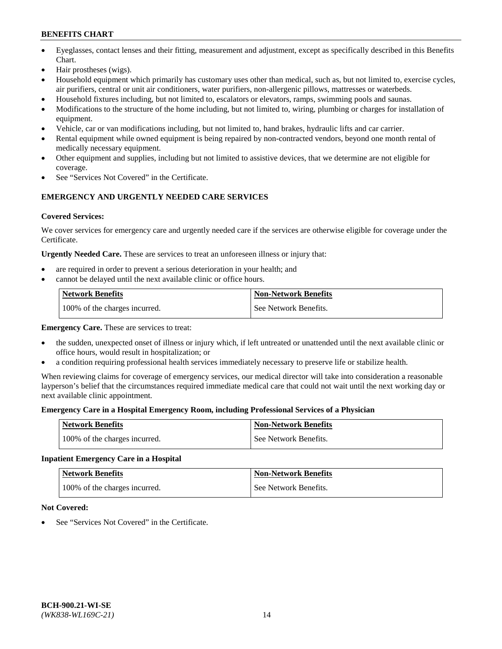- Eyeglasses, contact lenses and their fitting, measurement and adjustment, except as specifically described in this Benefits Chart.
- Hair prostheses (wigs).
- Household equipment which primarily has customary uses other than medical, such as, but not limited to, exercise cycles, air purifiers, central or unit air conditioners, water purifiers, non-allergenic pillows, mattresses or waterbeds.
- Household fixtures including, but not limited to, escalators or elevators, ramps, swimming pools and saunas.
- Modifications to the structure of the home including, but not limited to, wiring, plumbing or charges for installation of equipment.
- Vehicle, car or van modifications including, but not limited to, hand brakes, hydraulic lifts and car carrier.
- Rental equipment while owned equipment is being repaired by non-contracted vendors, beyond one month rental of medically necessary equipment.
- Other equipment and supplies, including but not limited to assistive devices, that we determine are not eligible for coverage.
- See "Services Not Covered" in the Certificate.

### **EMERGENCY AND URGENTLY NEEDED CARE SERVICES**

### **Covered Services:**

We cover services for emergency care and urgently needed care if the services are otherwise eligible for coverage under the Certificate.

**Urgently Needed Care.** These are services to treat an unforeseen illness or injury that:

- are required in order to prevent a serious deterioration in your health; and
- cannot be delayed until the next available clinic or office hours.

| <b>Network Benefits</b>       | <b>Non-Network Benefits</b> |
|-------------------------------|-----------------------------|
| 100% of the charges incurred. | See Network Benefits.       |

**Emergency Care.** These are services to treat:

- the sudden, unexpected onset of illness or injury which, if left untreated or unattended until the next available clinic or office hours, would result in hospitalization; or
- a condition requiring professional health services immediately necessary to preserve life or stabilize health.

When reviewing claims for coverage of emergency services, our medical director will take into consideration a reasonable layperson's belief that the circumstances required immediate medical care that could not wait until the next working day or next available clinic appointment.

### **Emergency Care in a Hospital Emergency Room, including Professional Services of a Physician**

| <b>Network Benefits</b>       | <b>Non-Network Benefits</b> |
|-------------------------------|-----------------------------|
| 100% of the charges incurred. | See Network Benefits.       |

### **Inpatient Emergency Care in a Hospital**

| <b>Network Benefits</b>       | <b>Non-Network Benefits</b> |
|-------------------------------|-----------------------------|
| 100% of the charges incurred. | See Network Benefits.       |

### **Not Covered:**

See "Services Not Covered" in the Certificate.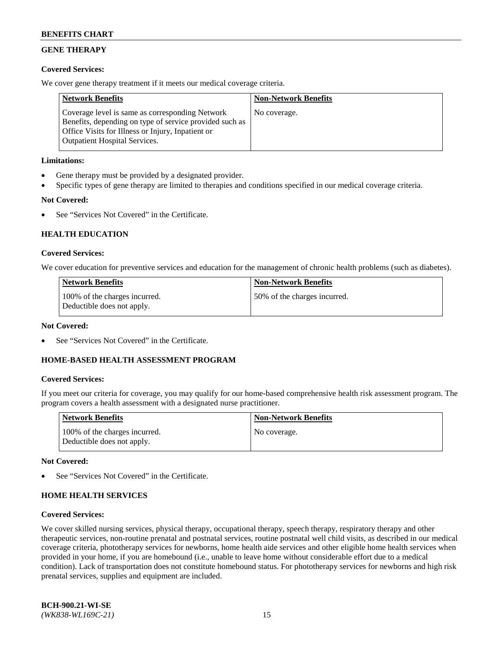## **GENE THERAPY**

### **Covered Services:**

We cover gene therapy treatment if it meets our medical coverage criteria.

| <b>Network Benefits</b>                                                                                                                                                                                 | <b>Non-Network Benefits</b> |
|---------------------------------------------------------------------------------------------------------------------------------------------------------------------------------------------------------|-----------------------------|
| Coverage level is same as corresponding Network<br>Benefits, depending on type of service provided such as<br>Office Visits for Illness or Injury, Inpatient or<br><b>Outpatient Hospital Services.</b> | No coverage.                |

### **Limitations:**

- Gene therapy must be provided by a designated provider.
- Specific types of gene therapy are limited to therapies and conditions specified in our medical coverage criteria.

## **Not Covered:**

See "Services Not Covered" in the Certificate.

### **HEALTH EDUCATION**

### **Covered Services:**

We cover education for preventive services and education for the management of chronic health problems (such as diabetes).

| <b>Network Benefits</b>                                     | <b>Non-Network Benefits</b>  |
|-------------------------------------------------------------|------------------------------|
| 100% of the charges incurred.<br>Deductible does not apply. | 50% of the charges incurred. |

#### **Not Covered:**

See "Services Not Covered" in the Certificate.

### **HOME-BASED HEALTH ASSESSMENT PROGRAM**

#### **Covered Services:**

If you meet our criteria for coverage, you may qualify for our home-based comprehensive health risk assessment program. The program covers a health assessment with a designated nurse practitioner.

| <b>Network Benefits</b>                                     | <b>Non-Network Benefits</b> |
|-------------------------------------------------------------|-----------------------------|
| 100% of the charges incurred.<br>Deductible does not apply. | No coverage.                |

#### **Not Covered:**

See "Services Not Covered" in the Certificate.

### **HOME HEALTH SERVICES**

#### **Covered Services:**

We cover skilled nursing services, physical therapy, occupational therapy, speech therapy, respiratory therapy and other therapeutic services, non-routine prenatal and postnatal services, routine postnatal well child visits, as described in our medical coverage criteria, phototherapy services for newborns, home health aide services and other eligible home health services when provided in your home, if you are homebound (i.e., unable to leave home without considerable effort due to a medical condition). Lack of transportation does not constitute homebound status. For phototherapy services for newborns and high risk prenatal services, supplies and equipment are included.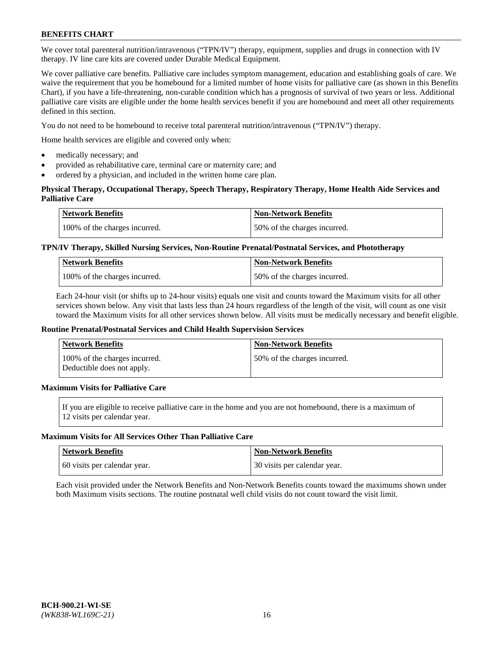We cover total parenteral nutrition/intravenous ("TPN/IV") therapy, equipment, supplies and drugs in connection with IV therapy. IV line care kits are covered under Durable Medical Equipment.

We cover palliative care benefits. Palliative care includes symptom management, education and establishing goals of care. We waive the requirement that you be homebound for a limited number of home visits for palliative care (as shown in this Benefits Chart), if you have a life-threatening, non-curable condition which has a prognosis of survival of two years or less. Additional palliative care visits are eligible under the home health services benefit if you are homebound and meet all other requirements defined in this section.

You do not need to be homebound to receive total parenteral nutrition/intravenous ("TPN/IV") therapy.

Home health services are eligible and covered only when:

- medically necessary; and
- provided as rehabilitative care, terminal care or maternity care; and
- ordered by a physician, and included in the written home care plan.

### **Physical Therapy, Occupational Therapy, Speech Therapy, Respiratory Therapy, Home Health Aide Services and Palliative Care**

| <b>Network Benefits</b>       | <b>Non-Network Benefits</b>  |
|-------------------------------|------------------------------|
| 100% of the charges incurred. | 50% of the charges incurred. |

### **TPN/IV Therapy, Skilled Nursing Services, Non-Routine Prenatal/Postnatal Services, and Phototherapy**

| <b>Network Benefits</b>       | <b>Non-Network Benefits</b>  |
|-------------------------------|------------------------------|
| 100% of the charges incurred. | 50% of the charges incurred. |

Each 24-hour visit (or shifts up to 24-hour visits) equals one visit and counts toward the Maximum visits for all other services shown below. Any visit that lasts less than 24 hours regardless of the length of the visit, will count as one visit toward the Maximum visits for all other services shown below. All visits must be medically necessary and benefit eligible.

#### **Routine Prenatal/Postnatal Services and Child Health Supervision Services**

| Network Benefits                                            | <b>Non-Network Benefits</b>  |
|-------------------------------------------------------------|------------------------------|
| 100% of the charges incurred.<br>Deductible does not apply. | 50% of the charges incurred. |

## **Maximum Visits for Palliative Care**

If you are eligible to receive palliative care in the home and you are not homebound, there is a maximum of 12 visits per calendar year.

#### **Maximum Visits for All Services Other Than Palliative Care**

| Network Benefits             | <b>Non-Network Benefits</b>  |
|------------------------------|------------------------------|
| 60 visits per calendar year. | 30 visits per calendar year. |

Each visit provided under the Network Benefits and Non-Network Benefits counts toward the maximums shown under both Maximum visits sections. The routine postnatal well child visits do not count toward the visit limit.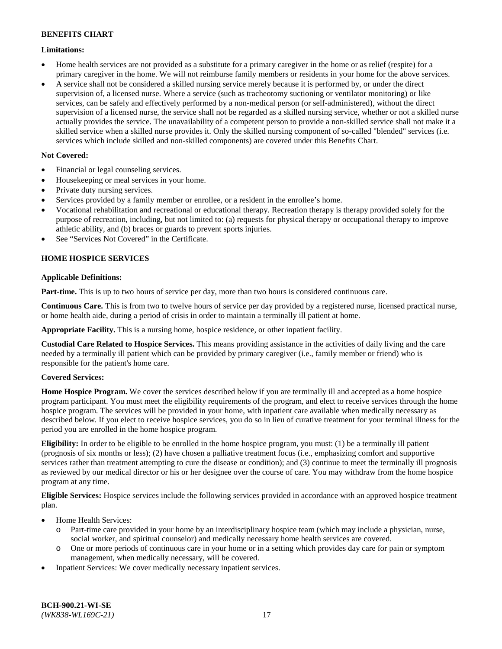### **Limitations:**

- Home health services are not provided as a substitute for a primary caregiver in the home or as relief (respite) for a primary caregiver in the home. We will not reimburse family members or residents in your home for the above services.
- A service shall not be considered a skilled nursing service merely because it is performed by, or under the direct supervision of, a licensed nurse. Where a service (such as tracheotomy suctioning or ventilator monitoring) or like services, can be safely and effectively performed by a non-medical person (or self-administered), without the direct supervision of a licensed nurse, the service shall not be regarded as a skilled nursing service, whether or not a skilled nurse actually provides the service. The unavailability of a competent person to provide a non-skilled service shall not make it a skilled service when a skilled nurse provides it. Only the skilled nursing component of so-called "blended" services (i.e. services which include skilled and non-skilled components) are covered under this Benefits Chart.

## **Not Covered:**

- Financial or legal counseling services.
- Housekeeping or meal services in your home.
- Private duty nursing services.
- Services provided by a family member or enrollee, or a resident in the enrollee's home.
- Vocational rehabilitation and recreational or educational therapy. Recreation therapy is therapy provided solely for the purpose of recreation, including, but not limited to: (a) requests for physical therapy or occupational therapy to improve athletic ability, and (b) braces or guards to prevent sports injuries.
- See "Services Not Covered" in the Certificate.

## **HOME HOSPICE SERVICES**

### **Applicable Definitions:**

**Part-time.** This is up to two hours of service per day, more than two hours is considered continuous care.

**Continuous Care.** This is from two to twelve hours of service per day provided by a registered nurse, licensed practical nurse, or home health aide, during a period of crisis in order to maintain a terminally ill patient at home.

**Appropriate Facility.** This is a nursing home, hospice residence, or other inpatient facility.

**Custodial Care Related to Hospice Services.** This means providing assistance in the activities of daily living and the care needed by a terminally ill patient which can be provided by primary caregiver (i.e., family member or friend) who is responsible for the patient's home care.

### **Covered Services:**

**Home Hospice Program.** We cover the services described below if you are terminally ill and accepted as a home hospice program participant. You must meet the eligibility requirements of the program, and elect to receive services through the home hospice program. The services will be provided in your home, with inpatient care available when medically necessary as described below. If you elect to receive hospice services, you do so in lieu of curative treatment for your terminal illness for the period you are enrolled in the home hospice program.

**Eligibility:** In order to be eligible to be enrolled in the home hospice program, you must: (1) be a terminally ill patient (prognosis of six months or less); (2) have chosen a palliative treatment focus (i.e., emphasizing comfort and supportive services rather than treatment attempting to cure the disease or condition); and (3) continue to meet the terminally ill prognosis as reviewed by our medical director or his or her designee over the course of care. You may withdraw from the home hospice program at any time.

**Eligible Services:** Hospice services include the following services provided in accordance with an approved hospice treatment plan.

- Home Health Services:
	- o Part-time care provided in your home by an interdisciplinary hospice team (which may include a physician, nurse, social worker, and spiritual counselor) and medically necessary home health services are covered.
	- o One or more periods of continuous care in your home or in a setting which provides day care for pain or symptom management, when medically necessary, will be covered.
- Inpatient Services: We cover medically necessary inpatient services.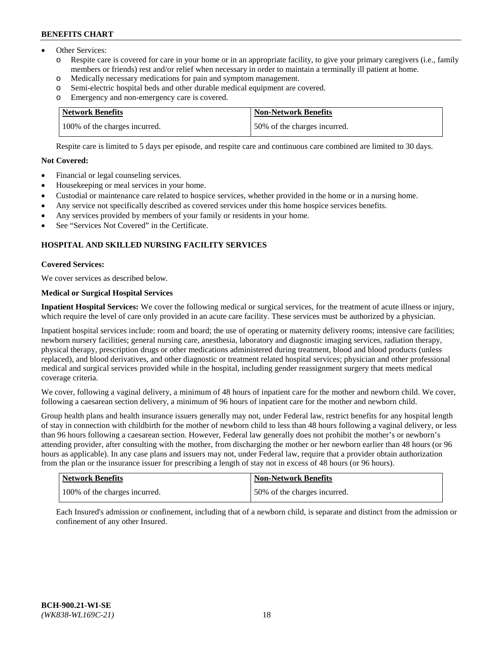- Other Services:
	- Respite care is covered for care in your home or in an appropriate facility, to give your primary caregivers (i.e., family members or friends) rest and/or relief when necessary in order to maintain a terminally ill patient at home.
	- o Medically necessary medications for pain and symptom management.
	- o Semi-electric hospital beds and other durable medical equipment are covered.
	- Emergency and non-emergency care is covered.

| Network Benefits              | <b>Non-Network Benefits</b>  |
|-------------------------------|------------------------------|
| 100% of the charges incurred. | 50% of the charges incurred. |

Respite care is limited to 5 days per episode, and respite care and continuous care combined are limited to 30 days.

## **Not Covered:**

- Financial or legal counseling services.
- Housekeeping or meal services in your home.
- Custodial or maintenance care related to hospice services, whether provided in the home or in a nursing home.
- Any service not specifically described as covered services under this home hospice services benefits.
- Any services provided by members of your family or residents in your home.
- See "Services Not Covered" in the Certificate.

## **HOSPITAL AND SKILLED NURSING FACILITY SERVICES**

### **Covered Services:**

We cover services as described below.

## **Medical or Surgical Hospital Services**

**Inpatient Hospital Services:** We cover the following medical or surgical services, for the treatment of acute illness or injury, which require the level of care only provided in an acute care facility. These services must be authorized by a physician.

Inpatient hospital services include: room and board; the use of operating or maternity delivery rooms; intensive care facilities; newborn nursery facilities; general nursing care, anesthesia, laboratory and diagnostic imaging services, radiation therapy, physical therapy, prescription drugs or other medications administered during treatment, blood and blood products (unless replaced), and blood derivatives, and other diagnostic or treatment related hospital services; physician and other professional medical and surgical services provided while in the hospital, including gender reassignment surgery that meets medical coverage criteria.

We cover, following a vaginal delivery, a minimum of 48 hours of inpatient care for the mother and newborn child. We cover, following a caesarean section delivery, a minimum of 96 hours of inpatient care for the mother and newborn child.

Group health plans and health insurance issuers generally may not, under Federal law, restrict benefits for any hospital length of stay in connection with childbirth for the mother of newborn child to less than 48 hours following a vaginal delivery, or less than 96 hours following a caesarean section. However, Federal law generally does not prohibit the mother's or newborn's attending provider, after consulting with the mother, from discharging the mother or her newborn earlier than 48 hours (or 96 hours as applicable). In any case plans and issuers may not, under Federal law, require that a provider obtain authorization from the plan or the insurance issuer for prescribing a length of stay not in excess of 48 hours (or 96 hours).

| Network Benefits              | <b>Non-Network Benefits</b>  |
|-------------------------------|------------------------------|
| 100% of the charges incurred. | 50% of the charges incurred. |

Each Insured's admission or confinement, including that of a newborn child, is separate and distinct from the admission or confinement of any other Insured.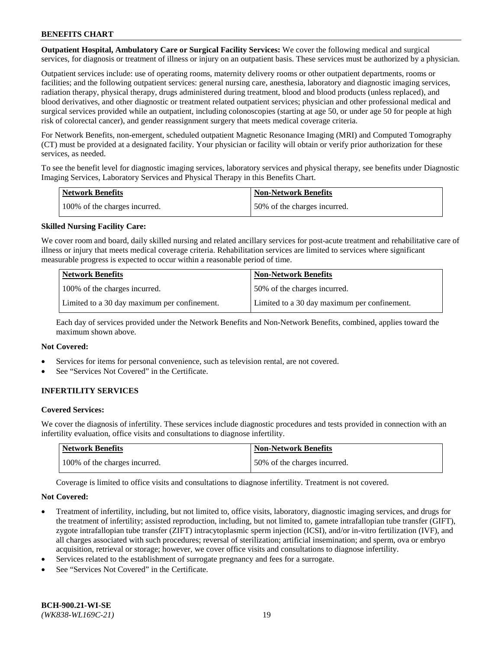**Outpatient Hospital, Ambulatory Care or Surgical Facility Services:** We cover the following medical and surgical services, for diagnosis or treatment of illness or injury on an outpatient basis. These services must be authorized by a physician.

Outpatient services include: use of operating rooms, maternity delivery rooms or other outpatient departments, rooms or facilities; and the following outpatient services: general nursing care, anesthesia, laboratory and diagnostic imaging services, radiation therapy, physical therapy, drugs administered during treatment, blood and blood products (unless replaced), and blood derivatives, and other diagnostic or treatment related outpatient services; physician and other professional medical and surgical services provided while an outpatient, including colonoscopies (starting at age 50, or under age 50 for people at high risk of colorectal cancer), and gender reassignment surgery that meets medical coverage criteria.

For Network Benefits, non-emergent, scheduled outpatient Magnetic Resonance Imaging (MRI) and Computed Tomography (CT) must be provided at a designated facility. Your physician or facility will obtain or verify prior authorization for these services, as needed.

To see the benefit level for diagnostic imaging services, laboratory services and physical therapy, see benefits under Diagnostic Imaging Services, Laboratory Services and Physical Therapy in this Benefits Chart.

| <b>Network Benefits</b>       | <b>Non-Network Benefits</b>  |
|-------------------------------|------------------------------|
| 100% of the charges incurred. | 50% of the charges incurred. |

### **Skilled Nursing Facility Care:**

We cover room and board, daily skilled nursing and related ancillary services for post-acute treatment and rehabilitative care of illness or injury that meets medical coverage criteria. Rehabilitation services are limited to services where significant measurable progress is expected to occur within a reasonable period of time.

| <b>Network Benefits</b>                      | <b>Non-Network Benefits</b>                  |
|----------------------------------------------|----------------------------------------------|
| 100% of the charges incurred.                | 150% of the charges incurred.                |
| Limited to a 30 day maximum per confinement. | Limited to a 30 day maximum per confinement. |

Each day of services provided under the Network Benefits and Non-Network Benefits, combined, applies toward the maximum shown above.

#### **Not Covered:**

- Services for items for personal convenience, such as television rental, are not covered.
- See "Services Not Covered" in the Certificate.

### **INFERTILITY SERVICES**

#### **Covered Services:**

We cover the diagnosis of infertility. These services include diagnostic procedures and tests provided in connection with an infertility evaluation, office visits and consultations to diagnose infertility.

| <b>Network Benefits</b>       | <b>Non-Network Benefits</b>  |
|-------------------------------|------------------------------|
| 100% of the charges incurred. | 50% of the charges incurred. |

Coverage is limited to office visits and consultations to diagnose infertility. Treatment is not covered.

#### **Not Covered:**

- Treatment of infertility, including, but not limited to, office visits, laboratory, diagnostic imaging services, and drugs for the treatment of infertility; assisted reproduction, including, but not limited to, gamete intrafallopian tube transfer (GIFT), zygote intrafallopian tube transfer (ZIFT) intracytoplasmic sperm injection (ICSI), and/or in-vitro fertilization (IVF), and all charges associated with such procedures; reversal of sterilization; artificial insemination; and sperm, ova or embryo acquisition, retrieval or storage; however, we cover office visits and consultations to diagnose infertility.
- Services related to the establishment of surrogate pregnancy and fees for a surrogate.
- See "Services Not Covered" in the Certificate.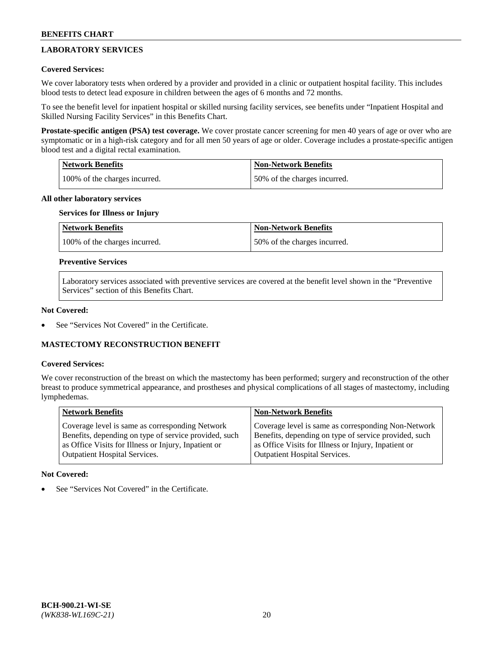## **LABORATORY SERVICES**

### **Covered Services:**

We cover laboratory tests when ordered by a provider and provided in a clinic or outpatient hospital facility. This includes blood tests to detect lead exposure in children between the ages of 6 months and 72 months.

To see the benefit level for inpatient hospital or skilled nursing facility services, see benefits under "Inpatient Hospital and Skilled Nursing Facility Services" in this Benefits Chart.

**Prostate-specific antigen (PSA) test coverage.** We cover prostate cancer screening for men 40 years of age or over who are symptomatic or in a high-risk category and for all men 50 years of age or older. Coverage includes a prostate-specific antigen blood test and a digital rectal examination.

| Network Benefits              | <b>Non-Network Benefits</b>  |
|-------------------------------|------------------------------|
| 100% of the charges incurred. | 50% of the charges incurred. |

### **All other laboratory services**

## **Services for Illness or Injury**

| <b>Network Benefits</b>       | <b>Non-Network Benefits</b>  |
|-------------------------------|------------------------------|
| 100% of the charges incurred. | 50% of the charges incurred. |

### **Preventive Services**

Laboratory services associated with preventive services are covered at the benefit level shown in the "Preventive Services" section of this Benefits Chart.

### **Not Covered:**

See "Services Not Covered" in the Certificate.

### **MASTECTOMY RECONSTRUCTION BENEFIT**

#### **Covered Services:**

We cover reconstruction of the breast on which the mastectomy has been performed; surgery and reconstruction of the other breast to produce symmetrical appearance, and prostheses and physical complications of all stages of mastectomy, including lymphedemas.

| <b>Network Benefits</b>                               | <b>Non-Network Benefits</b>                           |
|-------------------------------------------------------|-------------------------------------------------------|
| Coverage level is same as corresponding Network       | Coverage level is same as corresponding Non-Network   |
| Benefits, depending on type of service provided, such | Benefits, depending on type of service provided, such |
| as Office Visits for Illness or Injury, Inpatient or  | as Office Visits for Illness or Injury, Inpatient or  |
| Outpatient Hospital Services.                         | Outpatient Hospital Services.                         |

### **Not Covered:**

See "Services Not Covered" in the Certificate.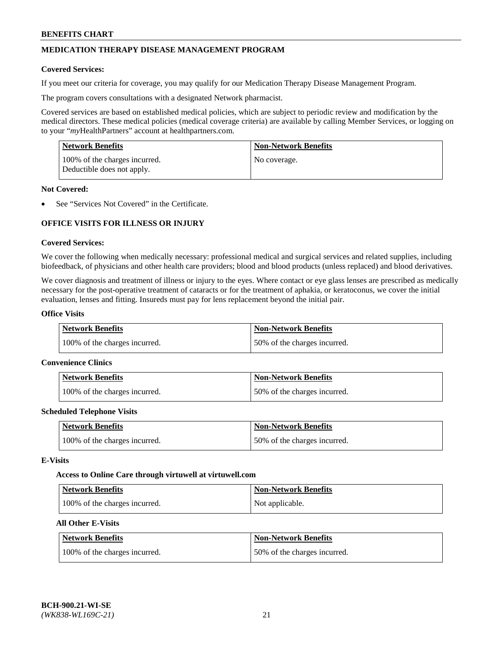## **MEDICATION THERAPY DISEASE MANAGEMENT PROGRAM**

### **Covered Services:**

If you meet our criteria for coverage, you may qualify for our Medication Therapy Disease Management Program.

The program covers consultations with a designated Network pharmacist.

Covered services are based on established medical policies, which are subject to periodic review and modification by the medical directors. These medical policies (medical coverage criteria) are available by calling Member Services, or logging on to your "*my*HealthPartners" account at [healthpartners.com.](http://www.healthpartners.com/)

| Network Benefits                                            | <b>Non-Network Benefits</b> |
|-------------------------------------------------------------|-----------------------------|
| 100% of the charges incurred.<br>Deductible does not apply. | No coverage.                |

### **Not Covered:**

See "Services Not Covered" in the Certificate.

## **OFFICE VISITS FOR ILLNESS OR INJURY**

### **Covered Services:**

We cover the following when medically necessary: professional medical and surgical services and related supplies, including biofeedback, of physicians and other health care providers; blood and blood products (unless replaced) and blood derivatives.

We cover diagnosis and treatment of illness or injury to the eyes. Where contact or eye glass lenses are prescribed as medically necessary for the post-operative treatment of cataracts or for the treatment of aphakia, or keratoconus, we cover the initial evaluation, lenses and fitting. Insureds must pay for lens replacement beyond the initial pair.

### **Office Visits**

| <b>Network Benefits</b>       | <b>Non-Network Benefits</b>  |
|-------------------------------|------------------------------|
| 100% of the charges incurred. | 50% of the charges incurred. |

#### **Convenience Clinics**

| Network Benefits              | <b>Non-Network Benefits</b>  |
|-------------------------------|------------------------------|
| 100% of the charges incurred. | 50% of the charges incurred. |

#### **Scheduled Telephone Visits**

| <b>Network Benefits</b>       | Non-Network Benefits         |
|-------------------------------|------------------------------|
| 100% of the charges incurred. | 50% of the charges incurred. |

### **E-Visits**

#### **Access to Online Care through virtuwell a[t virtuwell.com](https://www.virtuwell.com/)**

| Network Benefits              | <b>Non-Network Benefits</b> |
|-------------------------------|-----------------------------|
| 100% of the charges incurred. | Not applicable.             |

## **All Other E-Visits**

| <b>Network Benefits</b>       | <b>Non-Network Benefits</b>  |
|-------------------------------|------------------------------|
| 100% of the charges incurred. | 50% of the charges incurred. |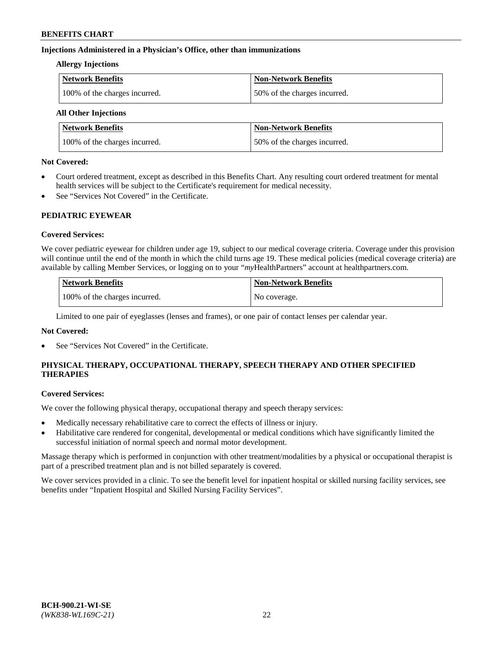### **Injections Administered in a Physician's Office, other than immunizations**

### **Allergy Injections**

| Network Benefits              | <b>Non-Network Benefits</b>  |
|-------------------------------|------------------------------|
| 100% of the charges incurred. | 50% of the charges incurred. |

## **All Other Injections**

| <b>Network Benefits</b>       | <b>Non-Network Benefits</b>  |
|-------------------------------|------------------------------|
| 100% of the charges incurred. | 50% of the charges incurred. |

### **Not Covered:**

- Court ordered treatment, except as described in this Benefits Chart. Any resulting court ordered treatment for mental health services will be subject to the Certificate's requirement for medical necessity.
- See "Services Not Covered" in the Certificate.

### **PEDIATRIC EYEWEAR**

### **Covered Services:**

We cover pediatric eyewear for children under age 19, subject to our medical coverage criteria. Coverage under this provision will continue until the end of the month in which the child turns age 19. These medical policies (medical coverage criteria) are available by calling Member Services, or logging on to your "*my*HealthPartners" account a[t healthpartners.com.](https://www.healthpartners.com/hp/index.html)

| Network Benefits              | <b>Non-Network Benefits</b> |
|-------------------------------|-----------------------------|
| 100% of the charges incurred. | No coverage.                |

Limited to one pair of eyeglasses (lenses and frames), or one pair of contact lenses per calendar year.

### **Not Covered:**

See "Services Not Covered" in the Certificate.

## **PHYSICAL THERAPY, OCCUPATIONAL THERAPY, SPEECH THERAPY AND OTHER SPECIFIED THERAPIES**

#### **Covered Services:**

We cover the following physical therapy, occupational therapy and speech therapy services:

- Medically necessary rehabilitative care to correct the effects of illness or injury.
- Habilitative care rendered for congenital, developmental or medical conditions which have significantly limited the successful initiation of normal speech and normal motor development.

Massage therapy which is performed in conjunction with other treatment/modalities by a physical or occupational therapist is part of a prescribed treatment plan and is not billed separately is covered.

We cover services provided in a clinic. To see the benefit level for inpatient hospital or skilled nursing facility services, see benefits under "Inpatient Hospital and Skilled Nursing Facility Services".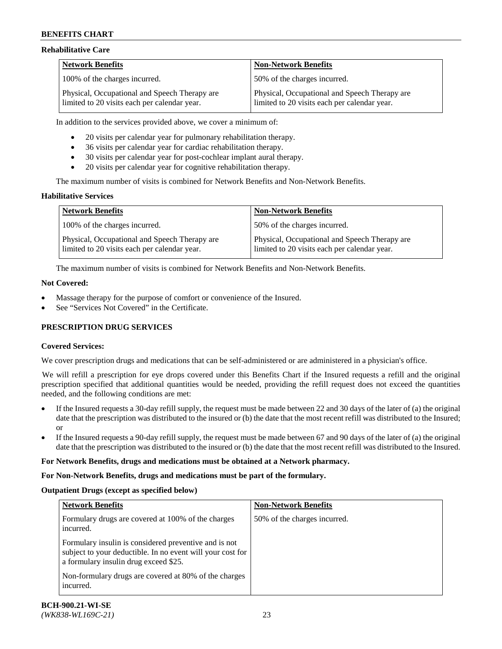### **Rehabilitative Care**

| <b>Network Benefits</b>                                                                       | <b>Non-Network Benefits</b>                                                                   |
|-----------------------------------------------------------------------------------------------|-----------------------------------------------------------------------------------------------|
| 100% of the charges incurred.                                                                 | 50% of the charges incurred.                                                                  |
| Physical, Occupational and Speech Therapy are<br>limited to 20 visits each per calendar year. | Physical, Occupational and Speech Therapy are<br>limited to 20 visits each per calendar year. |

In addition to the services provided above, we cover a minimum of:

- 20 visits per calendar year for pulmonary rehabilitation therapy.
- 36 visits per calendar year for cardiac rehabilitation therapy.
- 30 visits per calendar year for post-cochlear implant aural therapy.
- 20 visits per calendar year for cognitive rehabilitation therapy.

The maximum number of visits is combined for Network Benefits and Non-Network Benefits.

### **Habilitative Services**

| <b>Network Benefits</b>                                                                       | <b>Non-Network Benefits</b>                                                                   |
|-----------------------------------------------------------------------------------------------|-----------------------------------------------------------------------------------------------|
| 100% of the charges incurred.                                                                 | 50% of the charges incurred.                                                                  |
| Physical, Occupational and Speech Therapy are<br>limited to 20 visits each per calendar year. | Physical, Occupational and Speech Therapy are<br>limited to 20 visits each per calendar year. |

The maximum number of visits is combined for Network Benefits and Non-Network Benefits.

### **Not Covered:**

- Massage therapy for the purpose of comfort or convenience of the Insured.
- See "Services Not Covered" in the Certificate.

### **PRESCRIPTION DRUG SERVICES**

### **Covered Services:**

We cover prescription drugs and medications that can be self-administered or are administered in a physician's office.

We will refill a prescription for eye drops covered under this Benefits Chart if the Insured requests a refill and the original prescription specified that additional quantities would be needed, providing the refill request does not exceed the quantities needed, and the following conditions are met:

- If the Insured requests a 30-day refill supply, the request must be made between 22 and 30 days of the later of (a) the original date that the prescription was distributed to the insured or (b) the date that the most recent refill was distributed to the Insured; or
- If the Insured requests a 90-day refill supply, the request must be made between 67 and 90 days of the later of (a) the original date that the prescription was distributed to the insured or (b) the date that the most recent refill was distributed to the Insured.

#### **For Network Benefits, drugs and medications must be obtained at a Network pharmacy.**

#### **For Non-Network Benefits, drugs and medications must be part of the formulary.**

#### **Outpatient Drugs (except as specified below)**

| <b>Network Benefits</b>                                                                                                                                      | <b>Non-Network Benefits</b>  |
|--------------------------------------------------------------------------------------------------------------------------------------------------------------|------------------------------|
| Formulary drugs are covered at 100% of the charges<br>incurred.                                                                                              | 50% of the charges incurred. |
| Formulary insulin is considered preventive and is not<br>subject to your deductible. In no event will your cost for<br>a formulary insulin drug exceed \$25. |                              |
| Non-formulary drugs are covered at 80% of the charges<br>incurred.                                                                                           |                              |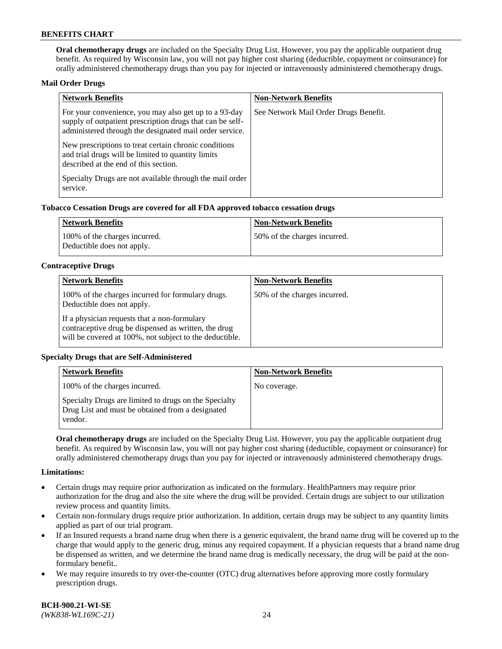**Oral chemotherapy drugs** are included on the Specialty Drug List. However, you pay the applicable outpatient drug benefit. As required by Wisconsin law, you will not pay higher cost sharing (deductible, copayment or coinsurance) for orally administered chemotherapy drugs than you pay for injected or intravenously administered chemotherapy drugs.

### **Mail Order Drugs**

| <b>Network Benefits</b>                                                                                                                                                       | <b>Non-Network Benefits</b>           |
|-------------------------------------------------------------------------------------------------------------------------------------------------------------------------------|---------------------------------------|
| For your convenience, you may also get up to a 93-day<br>supply of outpatient prescription drugs that can be self-<br>administered through the designated mail order service. | See Network Mail Order Drugs Benefit. |
| New prescriptions to treat certain chronic conditions<br>and trial drugs will be limited to quantity limits<br>described at the end of this section.                          |                                       |
| Specialty Drugs are not available through the mail order<br>service.                                                                                                          |                                       |

### **Tobacco Cessation Drugs are covered for all FDA approved tobacco cessation drugs**

| Network Benefits                                            | Non-Network Benefits         |
|-------------------------------------------------------------|------------------------------|
| 100% of the charges incurred.<br>Deductible does not apply. | 50% of the charges incurred. |

### **Contraceptive Drugs**

| <b>Network Benefits</b>                                                                                                                                         | <b>Non-Network Benefits</b>  |
|-----------------------------------------------------------------------------------------------------------------------------------------------------------------|------------------------------|
| 100% of the charges incurred for formulary drugs.<br>Deductible does not apply.                                                                                 | 50% of the charges incurred. |
| If a physician requests that a non-formulary<br>contraceptive drug be dispensed as written, the drug<br>will be covered at 100%, not subject to the deductible. |                              |

### **Specialty Drugs that are Self-Administered**

| <b>Network Benefits</b>                                                                                              | <b>Non-Network Benefits</b> |
|----------------------------------------------------------------------------------------------------------------------|-----------------------------|
| 100% of the charges incurred.                                                                                        | No coverage.                |
| Specialty Drugs are limited to drugs on the Specialty<br>Drug List and must be obtained from a designated<br>vendor. |                             |

**Oral chemotherapy drugs** are included on the Specialty Drug List. However, you pay the applicable outpatient drug benefit. As required by Wisconsin law, you will not pay higher cost sharing (deductible, copayment or coinsurance) for orally administered chemotherapy drugs than you pay for injected or intravenously administered chemotherapy drugs.

#### **Limitations:**

- Certain drugs may require prior authorization as indicated on the formulary. HealthPartners may require prior authorization for the drug and also the site where the drug will be provided. Certain drugs are subject to our utilization review process and quantity limits.
- Certain non-formulary drugs require prior authorization. In addition, certain drugs may be subject to any quantity limits applied as part of our trial program.
- If an Insured requests a brand name drug when there is a generic equivalent, the brand name drug will be covered up to the charge that would apply to the generic drug, minus any required copayment. If a physician requests that a brand name drug be dispensed as written, and we determine the brand name drug is medically necessary, the drug will be paid at the nonformulary benefit..
- We may require insureds to try over-the-counter (OTC) drug alternatives before approving more costly formulary prescription drugs.

**BCH-900.21-WI-SE**  *(WK838-WL169C-21)* 24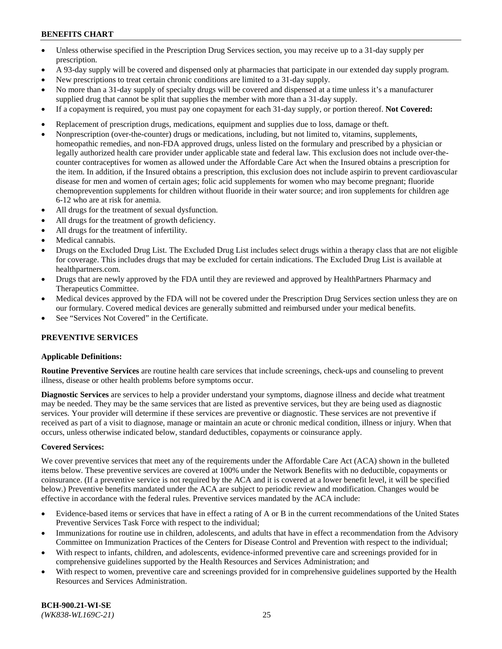- Unless otherwise specified in the Prescription Drug Services section, you may receive up to a 31-day supply per prescription.
- A 93-day supply will be covered and dispensed only at pharmacies that participate in our extended day supply program.
- New prescriptions to treat certain chronic conditions are limited to a 31-day supply.
- No more than a 31-day supply of specialty drugs will be covered and dispensed at a time unless it's a manufacturer supplied drug that cannot be split that supplies the member with more than a 31-day supply.
- If a copayment is required, you must pay one copayment for each 31-day supply, or portion thereof. **Not Covered:**
- Replacement of prescription drugs, medications, equipment and supplies due to loss, damage or theft.
- Nonprescription (over-the-counter) drugs or medications, including, but not limited to, vitamins, supplements, homeopathic remedies, and non-FDA approved drugs, unless listed on the formulary and prescribed by a physician or legally authorized health care provider under applicable state and federal law. This exclusion does not include over-thecounter contraceptives for women as allowed under the Affordable Care Act when the Insured obtains a prescription for the item. In addition, if the Insured obtains a prescription, this exclusion does not include aspirin to prevent cardiovascular disease for men and women of certain ages; folic acid supplements for women who may become pregnant; fluoride chemoprevention supplements for children without fluoride in their water source; and iron supplements for children age 6-12 who are at risk for anemia.
- All drugs for the treatment of sexual dysfunction.
- All drugs for the treatment of growth deficiency.
- All drugs for the treatment of infertility.
- Medical cannabis.
- Drugs on the Excluded Drug List. The Excluded Drug List includes select drugs within a therapy class that are not eligible for coverage. This includes drugs that may be excluded for certain indications. The Excluded Drug List is available at [healthpartners.com.](http://www.healthpartners.com/)
- Drugs that are newly approved by the FDA until they are reviewed and approved by HealthPartners Pharmacy and Therapeutics Committee.
- Medical devices approved by the FDA will not be covered under the Prescription Drug Services section unless they are on our formulary. Covered medical devices are generally submitted and reimbursed under your medical benefits.
- See "Services Not Covered" in the Certificate.

### **PREVENTIVE SERVICES**

#### **Applicable Definitions:**

**Routine Preventive Services** are routine health care services that include screenings, check-ups and counseling to prevent illness, disease or other health problems before symptoms occur.

**Diagnostic Services** are services to help a provider understand your symptoms, diagnose illness and decide what treatment may be needed. They may be the same services that are listed as preventive services, but they are being used as diagnostic services. Your provider will determine if these services are preventive or diagnostic. These services are not preventive if received as part of a visit to diagnose, manage or maintain an acute or chronic medical condition, illness or injury. When that occurs, unless otherwise indicated below, standard deductibles, copayments or coinsurance apply.

#### **Covered Services:**

We cover preventive services that meet any of the requirements under the Affordable Care Act (ACA) shown in the bulleted items below. These preventive services are covered at 100% under the Network Benefits with no deductible, copayments or coinsurance. (If a preventive service is not required by the ACA and it is covered at a lower benefit level, it will be specified below.) Preventive benefits mandated under the ACA are subject to periodic review and modification. Changes would be effective in accordance with the federal rules. Preventive services mandated by the ACA include:

- Evidence-based items or services that have in effect a rating of A or B in the current recommendations of the United States Preventive Services Task Force with respect to the individual;
- Immunizations for routine use in children, adolescents, and adults that have in effect a recommendation from the Advisory Committee on Immunization Practices of the Centers for Disease Control and Prevention with respect to the individual;
- With respect to infants, children, and adolescents, evidence-informed preventive care and screenings provided for in comprehensive guidelines supported by the Health Resources and Services Administration; and
- With respect to women, preventive care and screenings provided for in comprehensive guidelines supported by the Health Resources and Services Administration.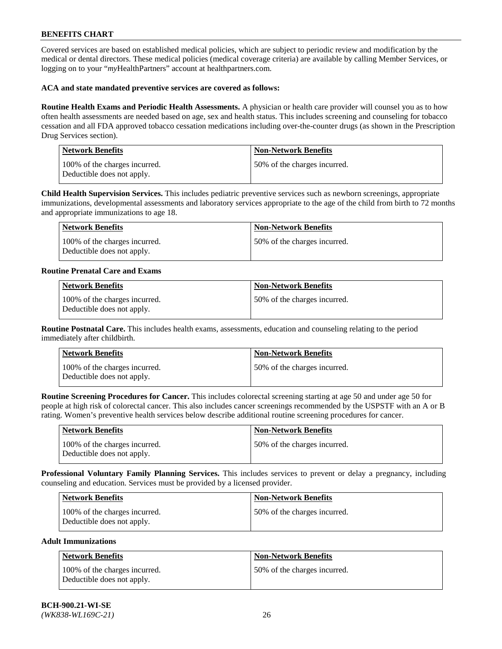Covered services are based on established medical policies, which are subject to periodic review and modification by the medical or dental directors. These medical policies (medical coverage criteria) are available by calling Member Services, or logging on to your "*my*HealthPartners" account at [healthpartners.com.](https://www.healthpartners.com/hp/index.html)

### **ACA and state mandated preventive services are covered as follows:**

**Routine Health Exams and Periodic Health Assessments.** A physician or health care provider will counsel you as to how often health assessments are needed based on age, sex and health status. This includes screening and counseling for tobacco cessation and all FDA approved tobacco cessation medications including over-the-counter drugs (as shown in the Prescription Drug Services section).

| <b>Network Benefits</b>                                     | <b>Non-Network Benefits</b>  |
|-------------------------------------------------------------|------------------------------|
| 100% of the charges incurred.<br>Deductible does not apply. | 50% of the charges incurred. |

**Child Health Supervision Services.** This includes pediatric preventive services such as newborn screenings, appropriate immunizations, developmental assessments and laboratory services appropriate to the age of the child from birth to 72 months and appropriate immunizations to age 18.

| Network Benefits                                            | Non-Network Benefits         |
|-------------------------------------------------------------|------------------------------|
| 100% of the charges incurred.<br>Deductible does not apply. | 50% of the charges incurred. |

### **Routine Prenatal Care and Exams**

| <b>Network Benefits</b>                                     | <b>Non-Network Benefits</b>  |
|-------------------------------------------------------------|------------------------------|
| 100% of the charges incurred.<br>Deductible does not apply. | 50% of the charges incurred. |

**Routine Postnatal Care.** This includes health exams, assessments, education and counseling relating to the period immediately after childbirth.

| Network Benefits                                            | <b>Non-Network Benefits</b>  |
|-------------------------------------------------------------|------------------------------|
| 100% of the charges incurred.<br>Deductible does not apply. | 50% of the charges incurred. |

**Routine Screening Procedures for Cancer.** This includes colorectal screening starting at age 50 and under age 50 for people at high risk of colorectal cancer. This also includes cancer screenings recommended by the USPSTF with an A or B rating. Women's preventive health services below describe additional routine screening procedures for cancer.

| <b>Network Benefits</b>                                     | Non-Network Benefits         |
|-------------------------------------------------------------|------------------------------|
| 100% of the charges incurred.<br>Deductible does not apply. | 50% of the charges incurred. |

**Professional Voluntary Family Planning Services.** This includes services to prevent or delay a pregnancy, including counseling and education. Services must be provided by a licensed provider.

| <b>Network Benefits</b>                                     | <b>Non-Network Benefits</b>   |
|-------------------------------------------------------------|-------------------------------|
| 100% of the charges incurred.<br>Deductible does not apply. | 150% of the charges incurred. |

### **Adult Immunizations**

| Network Benefits                                            | <b>Non-Network Benefits</b>  |
|-------------------------------------------------------------|------------------------------|
| 100% of the charges incurred.<br>Deductible does not apply. | 50% of the charges incurred. |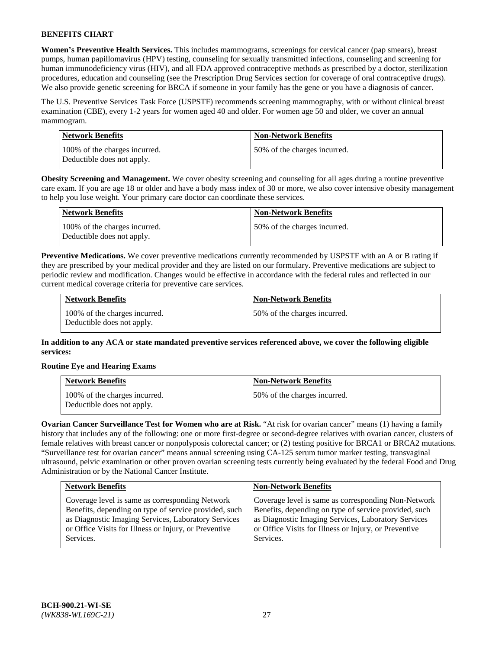**Women's Preventive Health Services.** This includes mammograms, screenings for cervical cancer (pap smears), breast pumps, human papillomavirus (HPV) testing, counseling for sexually transmitted infections, counseling and screening for human immunodeficiency virus (HIV), and all FDA approved contraceptive methods as prescribed by a doctor, sterilization procedures, education and counseling (see the Prescription Drug Services section for coverage of oral contraceptive drugs). We also provide genetic screening for BRCA if someone in your family has the gene or you have a diagnosis of cancer.

The U.S. Preventive Services Task Force (USPSTF) recommends screening mammography, with or without clinical breast examination (CBE), every 1-2 years for women aged 40 and older. For women age 50 and older, we cover an annual mammogram.

| Network Benefits                                            | <b>Non-Network Benefits</b>  |
|-------------------------------------------------------------|------------------------------|
| 100% of the charges incurred.<br>Deductible does not apply. | 50% of the charges incurred. |

**Obesity Screening and Management.** We cover obesity screening and counseling for all ages during a routine preventive care exam. If you are age 18 or older and have a body mass index of 30 or more, we also cover intensive obesity management to help you lose weight. Your primary care doctor can coordinate these services.

| Network Benefits                                            | <b>Non-Network Benefits</b>  |
|-------------------------------------------------------------|------------------------------|
| 100% of the charges incurred.<br>Deductible does not apply. | 50% of the charges incurred. |

**Preventive Medications.** We cover preventive medications currently recommended by USPSTF with an A or B rating if they are prescribed by your medical provider and they are listed on our formulary. Preventive medications are subject to periodic review and modification. Changes would be effective in accordance with the federal rules and reflected in our current medical coverage criteria for preventive care services.

| <b>Network Benefits</b>                                     | <b>Non-Network Benefits</b>  |
|-------------------------------------------------------------|------------------------------|
| 100% of the charges incurred.<br>Deductible does not apply. | 50% of the charges incurred. |

**In addition to any ACA or state mandated preventive services referenced above, we cover the following eligible services:**

### **Routine Eye and Hearing Exams**

| <b>Network Benefits</b>                                     | <b>Non-Network Benefits</b>  |
|-------------------------------------------------------------|------------------------------|
| 100% of the charges incurred.<br>Deductible does not apply. | 50% of the charges incurred. |

**Ovarian Cancer Surveillance Test for Women who are at Risk.** "At risk for ovarian cancer" means (1) having a family history that includes any of the following: one or more first-degree or second-degree relatives with ovarian cancer, clusters of female relatives with breast cancer or nonpolyposis colorectal cancer; or (2) testing positive for BRCA1 or BRCA2 mutations. "Surveillance test for ovarian cancer" means annual screening using CA-125 serum tumor marker testing, transvaginal ultrasound, pelvic examination or other proven ovarian screening tests currently being evaluated by the federal Food and Drug Administration or by the National Cancer Institute.

| <b>Network Benefits</b>                               | <b>Non-Network Benefits</b>                           |
|-------------------------------------------------------|-------------------------------------------------------|
| Coverage level is same as corresponding Network       | Coverage level is same as corresponding Non-Network   |
| Benefits, depending on type of service provided, such | Benefits, depending on type of service provided, such |
| as Diagnostic Imaging Services, Laboratory Services   | as Diagnostic Imaging Services, Laboratory Services   |
| or Office Visits for Illness or Injury, or Preventive | or Office Visits for Illness or Injury, or Preventive |
| Services.                                             | Services.                                             |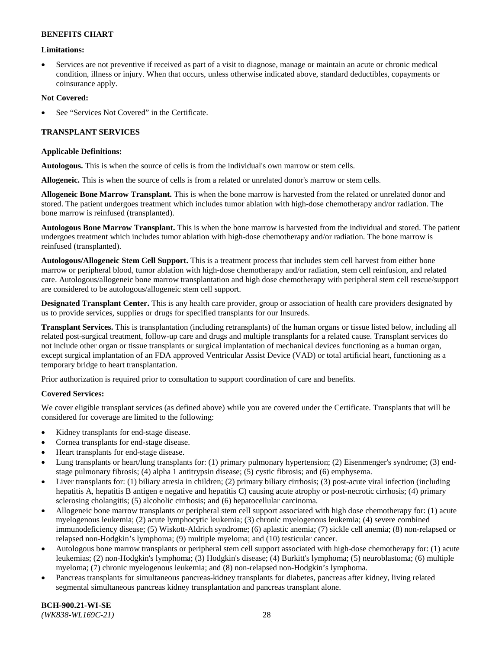### **Limitations:**

• Services are not preventive if received as part of a visit to diagnose, manage or maintain an acute or chronic medical condition, illness or injury. When that occurs, unless otherwise indicated above, standard deductibles, copayments or coinsurance apply.

### **Not Covered:**

See "Services Not Covered" in the Certificate.

### **TRANSPLANT SERVICES**

### **Applicable Definitions:**

**Autologous.** This is when the source of cells is from the individual's own marrow or stem cells.

**Allogeneic.** This is when the source of cells is from a related or unrelated donor's marrow or stem cells.

**Allogeneic Bone Marrow Transplant.** This is when the bone marrow is harvested from the related or unrelated donor and stored. The patient undergoes treatment which includes tumor ablation with high-dose chemotherapy and/or radiation. The bone marrow is reinfused (transplanted).

**Autologous Bone Marrow Transplant.** This is when the bone marrow is harvested from the individual and stored. The patient undergoes treatment which includes tumor ablation with high-dose chemotherapy and/or radiation. The bone marrow is reinfused (transplanted).

**Autologous/Allogeneic Stem Cell Support.** This is a treatment process that includes stem cell harvest from either bone marrow or peripheral blood, tumor ablation with high-dose chemotherapy and/or radiation, stem cell reinfusion, and related care. Autologous/allogeneic bone marrow transplantation and high dose chemotherapy with peripheral stem cell rescue/support are considered to be autologous/allogeneic stem cell support.

**Designated Transplant Center.** This is any health care provider, group or association of health care providers designated by us to provide services, supplies or drugs for specified transplants for our Insureds.

**Transplant Services.** This is transplantation (including retransplants) of the human organs or tissue listed below, including all related post-surgical treatment, follow-up care and drugs and multiple transplants for a related cause. Transplant services do not include other organ or tissue transplants or surgical implantation of mechanical devices functioning as a human organ, except surgical implantation of an FDA approved Ventricular Assist Device (VAD) or total artificial heart, functioning as a temporary bridge to heart transplantation.

Prior authorization is required prior to consultation to support coordination of care and benefits.

### **Covered Services:**

We cover eligible transplant services (as defined above) while you are covered under the Certificate. Transplants that will be considered for coverage are limited to the following:

- Kidney transplants for end-stage disease.
- Cornea transplants for end-stage disease.
- Heart transplants for end-stage disease.
- Lung transplants or heart/lung transplants for: (1) primary pulmonary hypertension; (2) Eisenmenger's syndrome; (3) endstage pulmonary fibrosis; (4) alpha 1 antitrypsin disease; (5) cystic fibrosis; and (6) emphysema.
- Liver transplants for: (1) biliary atresia in children; (2) primary biliary cirrhosis; (3) post-acute viral infection (including hepatitis A, hepatitis B antigen e negative and hepatitis C) causing acute atrophy or post-necrotic cirrhosis; (4) primary sclerosing cholangitis; (5) alcoholic cirrhosis; and (6) hepatocellular carcinoma.
- Allogeneic bone marrow transplants or peripheral stem cell support associated with high dose chemotherapy for: (1) acute myelogenous leukemia; (2) acute lymphocytic leukemia; (3) chronic myelogenous leukemia; (4) severe combined immunodeficiency disease; (5) Wiskott-Aldrich syndrome; (6) aplastic anemia; (7) sickle cell anemia; (8) non-relapsed or relapsed non-Hodgkin's lymphoma; (9) multiple myeloma; and (10) testicular cancer.
- Autologous bone marrow transplants or peripheral stem cell support associated with high-dose chemotherapy for: (1) acute leukemias; (2) non-Hodgkin's lymphoma; (3) Hodgkin's disease; (4) Burkitt's lymphoma; (5) neuroblastoma; (6) multiple myeloma; (7) chronic myelogenous leukemia; and (8) non-relapsed non-Hodgkin's lymphoma.
- Pancreas transplants for simultaneous pancreas-kidney transplants for diabetes, pancreas after kidney, living related segmental simultaneous pancreas kidney transplantation and pancreas transplant alone.

**BCH-900.21-WI-SE**  *(WK838-WL169C-21)* 28